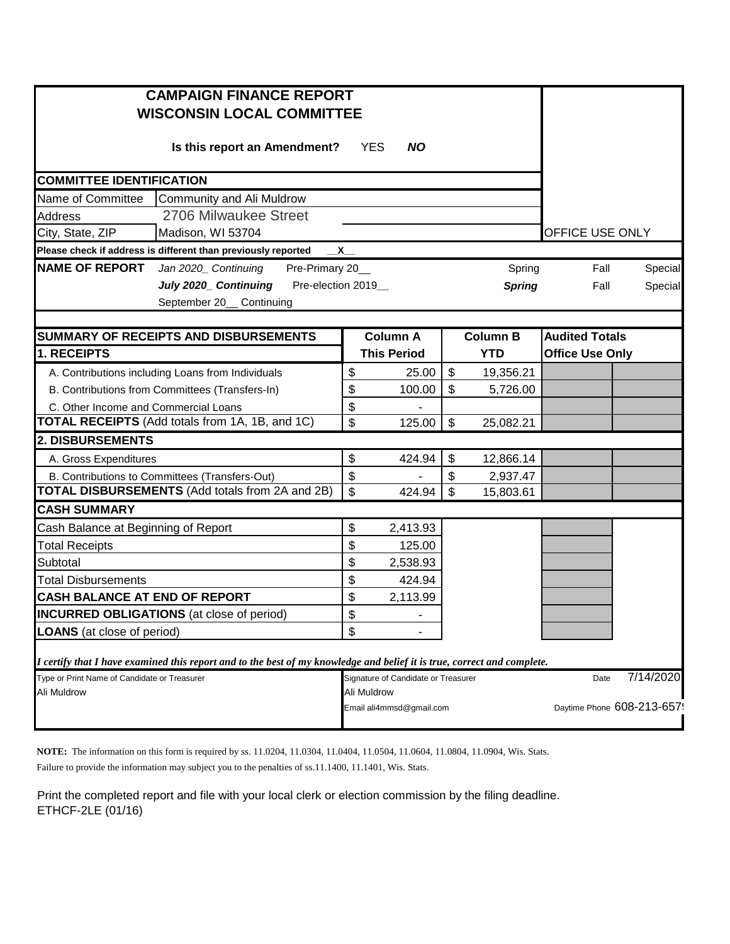| <b>CAMPAIGN FINANCE REPORT</b>                                                                                          |                |                                     |                |                 |                            |           |
|-------------------------------------------------------------------------------------------------------------------------|----------------|-------------------------------------|----------------|-----------------|----------------------------|-----------|
| <b>WISCONSIN LOCAL COMMITTEE</b>                                                                                        |                |                                     |                |                 |                            |           |
| Is this report an Amendment?                                                                                            |                | <b>YES</b><br><b>NO</b>             |                |                 |                            |           |
|                                                                                                                         |                |                                     |                |                 |                            |           |
| <b>COMMITTEE IDENTIFICATION</b>                                                                                         |                |                                     |                |                 |                            |           |
| Community and Ali Muldrow<br>Name of Committee                                                                          |                |                                     |                |                 |                            |           |
| 2706 Milwaukee Street<br>Address                                                                                        |                |                                     |                |                 |                            |           |
| City, State, ZIP<br>Madison, WI 53704                                                                                   |                |                                     |                |                 | OFFICE USE ONLY            |           |
| Please check if address is different than previously reported                                                           | $\mathsf{x}\_$ |                                     |                |                 |                            |           |
| <b>NAME OF REPORT</b> Jan 2020_ Continuing<br>Pre-Primary 20_                                                           |                |                                     |                | Spring          | Fall                       | Special   |
| July 2020_ Continuing Pre-election 2019_                                                                                |                |                                     |                | <b>Spring</b>   | Fall                       | Special   |
| September 20_ Continuing                                                                                                |                |                                     |                |                 |                            |           |
|                                                                                                                         |                |                                     |                |                 |                            |           |
| SUMMARY OF RECEIPTS AND DISBURSEMENTS                                                                                   |                | <b>Column A</b>                     |                | <b>Column B</b> | <b>Audited Totals</b>      |           |
| 1. RECEIPTS                                                                                                             |                | <b>This Period</b>                  |                | <b>YTD</b>      | <b>Office Use Only</b>     |           |
| A. Contributions including Loans from Individuals                                                                       | \$             | 25.00                               | \$             | 19,356.21       |                            |           |
| B. Contributions from Committees (Transfers-In)                                                                         | \$             | 100.00                              | \$             | 5,726.00        |                            |           |
| C. Other Income and Commercial Loans<br><b>TOTAL RECEIPTS</b> (Add totals from 1A, 1B, and 1C)                          | \$             |                                     |                |                 |                            |           |
|                                                                                                                         | \$             | 125.00                              | \$             | 25,082.21       |                            |           |
| 2. DISBURSEMENTS                                                                                                        |                |                                     |                |                 |                            |           |
| A. Gross Expenditures                                                                                                   | \$             | 424.94                              | \$             | 12,866.14       |                            |           |
| B. Contributions to Committees (Transfers-Out)<br><b>TOTAL DISBURSEMENTS</b> (Add totals from 2A and 2B)                | \$             |                                     | \$             | 2,937.47        |                            |           |
| <b>CASH SUMMARY</b>                                                                                                     | $\sqrt{2}$     | 424.94                              | $\mathfrak{S}$ | 15,803.61       |                            |           |
|                                                                                                                         |                |                                     |                |                 |                            |           |
| Cash Balance at Beginning of Report                                                                                     | \$             | 2,413.93                            |                |                 |                            |           |
| <b>Total Receipts</b>                                                                                                   | \$             | 125.00                              |                |                 |                            |           |
| Subtotal<br><b>Total Disbursements</b>                                                                                  | \$<br>\$       | 2,538.93<br>424.94                  |                |                 |                            |           |
| CASH BALANCE AT END OF REPORT                                                                                           | \$             | 2,113.99                            |                |                 |                            |           |
| <b>INCURRED OBLIGATIONS</b> (at close of period)                                                                        | \$             |                                     |                |                 |                            |           |
|                                                                                                                         | \$             |                                     |                |                 |                            |           |
| <b>LOANS</b> (at close of period)                                                                                       |                |                                     |                |                 |                            |           |
| I certify that I have examined this report and to the best of my knowledge and belief it is true, correct and complete. |                |                                     |                |                 |                            |           |
| Type or Print Name of Candidate or Treasurer                                                                            |                | Signature of Candidate or Treasurer |                |                 | Date                       | 7/14/2020 |
| Ali Muldrow                                                                                                             |                | Ali Muldrow                         |                |                 |                            |           |
|                                                                                                                         |                | Email ali4mmsd@gmail.com            |                |                 | Daytime Phone 608-213-657! |           |
|                                                                                                                         |                |                                     |                |                 |                            |           |

**NOTE:** The information on this form is required by ss. 11.0204, 11.0304, 11.0404, 11.0504, 11.0604, 11.0804, 11.0904, Wis. Stats. Failure to provide the information may subject you to the penalties of ss.11.1400, 11.1401, Wis. Stats.

Print the completed report and file with your local clerk or election commission by the filing deadline. ETHCF-2LE (01/16)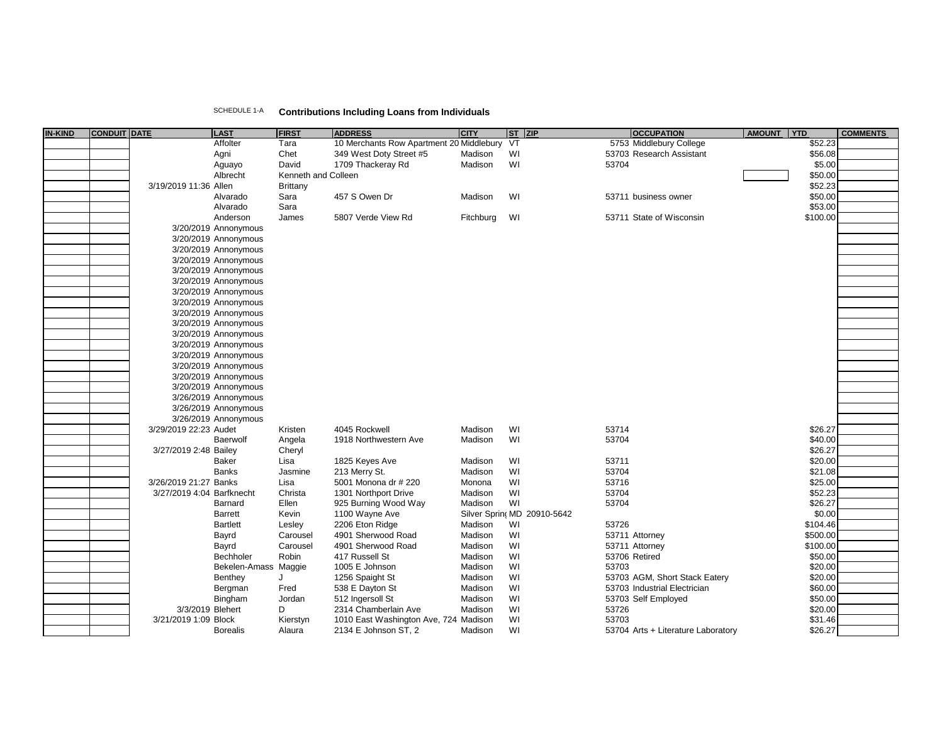| SCHEDULE 1-A | <b>Contributions Including Loans from Individuals</b> |  |  |  |  |
|--------------|-------------------------------------------------------|--|--|--|--|
|--------------|-------------------------------------------------------|--|--|--|--|

| <b>IN-KIND</b> | <b>CONDUIT DATE</b> |                           | LAST                 | <b>FIRST</b>        | <b>ADDRESS</b>                              | <b>CITY</b> | ST ZIP                      | <b>OCCUPATION</b>                  | AMOUNT YTD |          | <b>COMMENTS</b> |
|----------------|---------------------|---------------------------|----------------------|---------------------|---------------------------------------------|-------------|-----------------------------|------------------------------------|------------|----------|-----------------|
|                |                     |                           | Affolter             | Tara                | 10 Merchants Row Apartment 20 Middlebury VT |             |                             | 5753 Middlebury College            |            | \$52.23  |                 |
|                |                     |                           | Agni                 | Chet                | 349 West Doty Street #5                     | Madison     | WI                          | 53703 Research Assistant           |            | \$56.08  |                 |
|                |                     |                           | Aguayo               | David               | 1709 Thackeray Rd                           | Madison     | WI                          | 53704                              |            | \$5.00   |                 |
|                |                     |                           | Albrecht             | Kenneth and Colleen |                                             |             |                             |                                    |            | \$50.00  |                 |
|                |                     | 3/19/2019 11:36 Allen     |                      | Brittany            |                                             |             |                             |                                    |            | \$52.23  |                 |
|                |                     |                           | Alvarado             | Sara                | 457 S Owen Dr                               | Madison     | WI                          | 53711 business owner               |            | \$50.00  |                 |
|                |                     |                           | Alvarado             | Sara                |                                             |             |                             |                                    |            | \$53.00  |                 |
|                |                     |                           | Anderson             | James               | 5807 Verde View Rd                          | Fitchburg   | WI                          | 53711 State of Wisconsin           |            | \$100.00 |                 |
|                |                     |                           | 3/20/2019 Annonymous |                     |                                             |             |                             |                                    |            |          |                 |
|                |                     |                           |                      |                     |                                             |             |                             |                                    |            |          |                 |
|                |                     |                           | 3/20/2019 Annonymous |                     |                                             |             |                             |                                    |            |          |                 |
|                |                     |                           | 3/20/2019 Annonymous |                     |                                             |             |                             |                                    |            |          |                 |
|                |                     |                           | 3/20/2019 Annonymous |                     |                                             |             |                             |                                    |            |          |                 |
|                |                     |                           | 3/20/2019 Annonymous |                     |                                             |             |                             |                                    |            |          |                 |
|                |                     |                           | 3/20/2019 Annonymous |                     |                                             |             |                             |                                    |            |          |                 |
|                |                     |                           | 3/20/2019 Annonymous |                     |                                             |             |                             |                                    |            |          |                 |
|                |                     |                           | 3/20/2019 Annonymous |                     |                                             |             |                             |                                    |            |          |                 |
|                |                     |                           | 3/20/2019 Annonymous |                     |                                             |             |                             |                                    |            |          |                 |
|                |                     |                           | 3/20/2019 Annonymous |                     |                                             |             |                             |                                    |            |          |                 |
|                |                     |                           | 3/20/2019 Annonymous |                     |                                             |             |                             |                                    |            |          |                 |
|                |                     |                           | 3/20/2019 Annonymous |                     |                                             |             |                             |                                    |            |          |                 |
|                |                     |                           | 3/20/2019 Annonymous |                     |                                             |             |                             |                                    |            |          |                 |
|                |                     |                           | 3/20/2019 Annonymous |                     |                                             |             |                             |                                    |            |          |                 |
|                |                     |                           | 3/20/2019 Annonymous |                     |                                             |             |                             |                                    |            |          |                 |
|                |                     |                           | 3/20/2019 Annonymous |                     |                                             |             |                             |                                    |            |          |                 |
|                |                     |                           | 3/26/2019 Annonymous |                     |                                             |             |                             |                                    |            |          |                 |
|                |                     |                           | 3/26/2019 Annonymous |                     |                                             |             |                             |                                    |            |          |                 |
|                |                     |                           | 3/26/2019 Annonymous |                     |                                             |             |                             |                                    |            |          |                 |
|                |                     | 3/29/2019 22:23 Audet     |                      | Kristen             | 4045 Rockwell                               | Madison     | WI                          | 53714                              |            | \$26.27  |                 |
|                |                     |                           | Baerwolf             | Angela              | 1918 Northwestern Ave                       | Madison     | WI                          | 53704                              |            | \$40.00  |                 |
|                |                     | 3/27/2019 2:48 Bailey     |                      | Cheryl              |                                             |             |                             |                                    |            | \$26.27  |                 |
|                |                     |                           | <b>Baker</b>         | Lisa                | 1825 Keyes Ave                              | Madison     | WI                          | 53711                              |            | \$20.00  |                 |
|                |                     |                           | <b>Banks</b>         | Jasmine             | 213 Merry St.                               | Madison     | WI                          | 53704                              |            | \$21.08  |                 |
|                |                     |                           |                      |                     |                                             |             | WI                          | 53716                              |            | \$25.00  |                 |
|                |                     | 3/26/2019 21:27 Banks     |                      | Lisa                | 5001 Monona dr # 220                        | Monona      |                             |                                    |            |          |                 |
|                |                     | 3/27/2019 4:04 Barfknecht |                      | Christa             | 1301 Northport Drive                        | Madison     | WI                          | 53704                              |            | \$52.23  |                 |
|                |                     |                           | Barnard              | Ellen               | 925 Burning Wood Way                        | Madison     | WI                          | 53704                              |            | \$26.27  |                 |
|                |                     |                           | <b>Barrett</b>       | Kevin               | 1100 Wayne Ave                              |             | Silver Sprinc MD 20910-5642 |                                    |            | \$0.00   |                 |
|                |                     |                           | <b>Bartlett</b>      | Lesley              | 2206 Eton Ridge                             | Madison     | WI                          | 53726                              |            | \$104.46 |                 |
|                |                     |                           | Bayrd                | Carousel            | 4901 Sherwood Road                          | Madison     | WI                          | 53711 Attorney                     |            | \$500.00 |                 |
|                |                     |                           | Bayrd                | Carousel            | 4901 Sherwood Road                          | Madison     | WI                          | 53711 Attorney                     |            | \$100.00 |                 |
|                |                     |                           | Bechholer            | Robin               | 417 Russell St                              | Madison     | WI                          | 53706 Retired                      |            | \$50.00  |                 |
|                |                     |                           | Bekelen-Amass        | Maggie              | 1005 E Johnson                              | Madison     | WI                          | 53703                              |            | \$20.00  |                 |
|                |                     |                           | Benthey              | J                   | 1256 Spaight St                             | Madison     | WI                          | 53703 AGM, Short Stack Eatery      |            | \$20.00  |                 |
|                |                     |                           | Bergman              | Fred                | 538 E Dayton St                             | Madison     | WI                          | 53703 Industrial Electrician       |            | \$60.00  |                 |
|                |                     |                           | Bingham              | Jordan              | 512 Ingersoll St                            | Madison     | WI                          | 53703 Self Employed                |            | \$50.00  |                 |
|                |                     | 3/3/2019 Blehert          |                      | D                   | 2314 Chamberlain Ave                        | Madison     | WI                          | 53726                              |            | \$20.00  |                 |
|                |                     | 3/21/2019 1:09 Block      |                      | Kierstyn            | 1010 East Washington Ave, 724 Madison       |             | WI                          | 53703                              |            | \$31.46  |                 |
|                |                     |                           | <b>Borealis</b>      | Alaura              | 2134 E Johnson ST, 2                        | Madison     | WI                          | 53704 Arts + Literature Laboratory |            | \$26.27  |                 |
|                |                     |                           |                      |                     |                                             |             |                             |                                    |            |          |                 |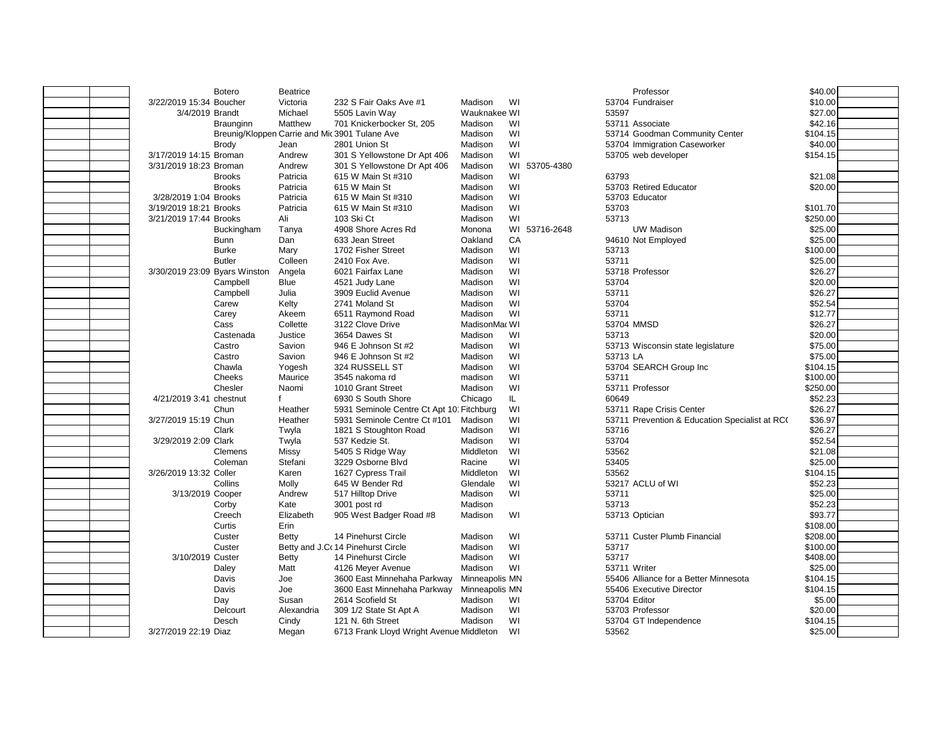|                               | <b>Botero</b>  | <b>Beatrice</b> |                                                |                |     |               |              | Professor                                      | \$40.00  |
|-------------------------------|----------------|-----------------|------------------------------------------------|----------------|-----|---------------|--------------|------------------------------------------------|----------|
| 3/22/2019 15:34 Boucher       |                | Victoria        | 232 S Fair Oaks Ave #1                         | Madison        | WI  |               |              | 53704 Fundraiser                               | \$10.00  |
| 3/4/2019 Brandt               |                | Michael         | 5505 Lavin Way                                 | Wauknakee WI   |     |               | 53597        |                                                | \$27.00  |
|                               | Braunginn      | Matthew         | 701 Knickerbocker St, 205                      | Madison        | WI  |               |              | 53711 Associate                                | \$42.16  |
|                               |                |                 | Breunig/Kloppen Carrie and Mic 3901 Tulane Ave | Madison        | WI  |               |              | 53714 Goodman Community Center                 | \$104.15 |
|                               | <b>Brody</b>   | Jean            | 2801 Union St                                  | Madison        | WI  |               |              | 53704 Immigration Caseworker                   | \$40.00  |
| 3/17/2019 14:15 Broman        |                | Andrew          | 301 S Yellowstone Dr Apt 406                   | Madison        | WI  |               |              | 53705 web developer                            | \$154.15 |
| 3/31/2019 18:23 Broman        |                | Andrew          | 301 S Yellowstone Dr Apt 406                   | Madison        |     | WI 53705-4380 |              |                                                |          |
|                               | <b>Brooks</b>  | Patricia        | 615 W Main St #310                             | Madison        | WI  |               | 63793        |                                                | \$21.08  |
|                               | <b>Brooks</b>  | Patricia        | 615 W Main St                                  | Madison        | WI  |               |              | 53703 Retired Educator                         | \$20.00  |
| 3/28/2019 1:04 Brooks         |                | Patricia        | 615 W Main St #310                             | Madison        | WI  |               |              | 53703 Educator                                 |          |
| 3/19/2019 18:21 Brooks        |                | Patricia        | 615 W Main St #310                             | Madison        | WI  |               | 53703        |                                                | \$101.70 |
| 3/21/2019 17:44 Brooks        |                | Ali             | 103 Ski Ct                                     | Madison        | WI  |               | 53713        |                                                | \$250.00 |
|                               | Buckingham     | Tanya           | 4908 Shore Acres Rd                            | Monona         |     | WI 53716-2648 |              | <b>UW Madison</b>                              | \$25.00  |
|                               | <b>Bunn</b>    | Dan             | 633 Jean Street                                | Oakland        | CA  |               |              | 94610 Not Employed                             | \$25.00  |
|                               | <b>Burke</b>   | Mary            | 1702 Fisher Street                             | Madison        | WI  |               | 53713        |                                                | \$100.00 |
|                               | <b>Butler</b>  | Colleen         | 2410 Fox Ave.                                  | Madison        | WI  |               | 53711        |                                                | \$25.00  |
| 3/30/2019 23:09 Byars Winston |                | Angela          | 6021 Fairfax Lane                              | Madison        | WI  |               |              | 53718 Professor                                | \$26.27  |
|                               | Campbell       | <b>Blue</b>     | 4521 Judy Lane                                 | Madison        | WI  |               | 53704        |                                                | \$20.00  |
|                               | Campbell       | Julia           | 3909 Euclid Avenue                             | Madison        | WI  |               | 53711        |                                                | \$26.27  |
|                               | Carew          | Kelty           | 2741 Moland St                                 | Madison        | WI  |               | 53704        |                                                | \$52.54  |
|                               | Carey          | Akeem           | 6511 Raymond Road                              | Madison        | WI  |               | 53711        |                                                | \$12.77  |
|                               | Cass           | Collette        | 3122 Clove Drive                               | MadisonMac WI  |     |               |              | 53704 MMSD                                     | \$26.27  |
|                               | Castenada      | Justice         | 3654 Dawes St                                  | Madison        | WI  |               | 53713        |                                                | \$20.00  |
|                               | Castro         | Savion          | 946 E Johnson St #2                            | Madison        | WI  |               |              | 53713 Wisconsin state legislature              | \$75.00  |
|                               | Castro         | Savion          | 946 E Johnson St #2                            | Madison        | WI  |               | 53713 LA     |                                                | \$75.00  |
|                               | Chawla         | Yogesh          | 324 RUSSELL ST                                 | Madison        | WI  |               |              | 53704 SEARCH Group Inc                         | \$104.15 |
|                               | Cheeks         | Maurice         | 3545 nakoma rd                                 | madison        | WI  |               | 53711        |                                                | \$100.00 |
|                               | Chesler        | Naomi           | 1010 Grant Street                              | Madison        | WI  |               |              | 53711 Professor                                | \$250.00 |
| 4/21/2019 3:41 chestnut       |                | f               | 6930 S South Shore                             | Chicago        | IL. |               | 60649        |                                                | \$52.23  |
|                               | Chun           | Heather         | 5931 Seminole Centre Ct Apt 10 Fitchburg       |                | WI  |               |              | 53711 Rape Crisis Center                       | \$26.27  |
| 3/27/2019 15:19 Chun          |                | Heather         | 5931 Seminole Centre Ct #101                   | Madison        | WI  |               |              | 53711 Prevention & Education Specialist at RC( | \$36.97  |
|                               | Clark          | Twyla           | 1821 S Stoughton Road                          | Madison        | WI  |               | 53716        |                                                | \$26.27  |
| 3/29/2019 2:09 Clark          |                | Twyla           | 537 Kedzie St.                                 | Madison        | WI  |               | 53704        |                                                | \$52.54  |
|                               | <b>Clemens</b> | Missy           | 5405 S Ridge Way                               | Middleton      | WI  |               | 53562        |                                                | \$21.08  |
|                               | Coleman        | Stefani         | 3229 Osborne Blvd                              | Racine         | WI  |               | 53405        |                                                | \$25.00  |
| 3/26/2019 13:32 Coller        |                | Karen           | 1627 Cypress Trail                             | Middleton      | WI  |               | 53562        |                                                | \$104.15 |
|                               | Collins        | Molly           | 645 W Bender Rd                                | Glendale       | WI  |               |              | 53217 ACLU of WI                               | \$52.23  |
| 3/13/2019 Cooper              |                | Andrew          | 517 Hilltop Drive                              | Madison        | WI  |               | 53711        |                                                | \$25.00  |
|                               | Corby          | Kate            | 3001 post rd                                   | Madison        |     |               | 53713        |                                                | \$52.23  |
|                               | Creech         | Elizabeth       | 905 West Badger Road #8                        | Madison        | WI  |               |              | 53713 Optician                                 | \$93.77  |
|                               | Curtis         | Erin            |                                                |                |     |               |              |                                                | \$108.00 |
|                               | Custer         | Betty           | 14 Pinehurst Circle                            | Madison        | WI  |               |              | 53711 Custer Plumb Financial                   | \$208.00 |
|                               | Custer         |                 | Betty and J.Co 14 Pinehurst Circle             | Madison        | WI  |               | 53717        |                                                | \$100.00 |
| 3/10/2019 Custer              |                | <b>Betty</b>    | 14 Pinehurst Circle                            | Madison        | WI  |               | 53717        |                                                | \$408.00 |
|                               | Daley          | Matt            | 4126 Meyer Avenue                              | Madison        | WI  |               | 53711 Writer |                                                | \$25.00  |
|                               | Davis          | Joe             | 3600 East Minnehaha Parkway                    | Minneapolis MN |     |               |              | 55406 Alliance for a Better Minnesota          | \$104.15 |
|                               | Davis          | Joe             | 3600 East Minnehaha Parkway                    | Minneapolis MN |     |               |              | 55406 Executive Director                       | \$104.15 |
|                               | Day            | Susan           | 2614 Scofield St                               | Madison        | WI  |               | 53704 Editor |                                                | \$5.00   |
|                               | Delcourt       | Alexandria      | 309 1/2 State St Apt A                         | Madison        | WI  |               |              | 53703 Professor                                | \$20.00  |
|                               | Desch          | Cindy           | 121 N. 6th Street                              | Madison        | WI  |               |              | 53704 GT Independence                          | \$104.15 |
| 3/27/2019 22:19 Diaz          |                | Megan           | 6713 Frank Lloyd Wright Avenue Middleton       |                | WI  |               | 53562        |                                                | \$25.00  |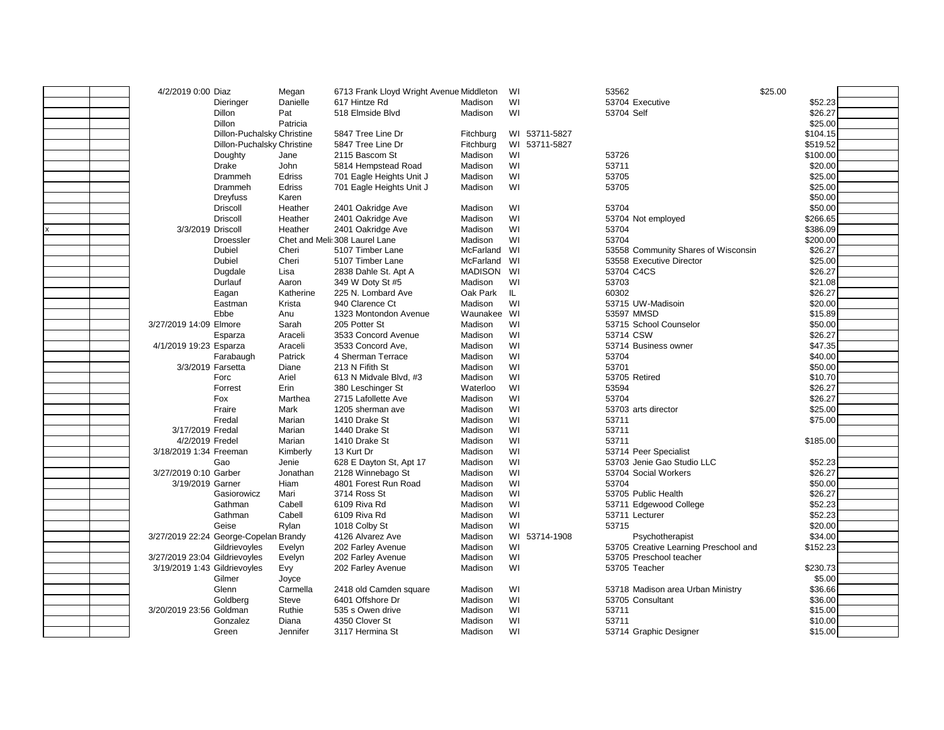| 4/2/2019 0:00 Diaz            |                                       | Megan            | 6713 Frank Lloyd Wright Avenue Middleton |                    | WI            | 53562                                 | \$25.00            |  |
|-------------------------------|---------------------------------------|------------------|------------------------------------------|--------------------|---------------|---------------------------------------|--------------------|--|
|                               | Dieringer                             | Danielle         | 617 Hintze Rd                            | Madison            | WI            | 53704 Executive                       | \$52.23            |  |
|                               | Dillon                                | Pat              | 518 Elmside Blvd                         | Madison            | WI            | 53704 Self                            | \$26.27            |  |
|                               | Dillon                                | Patricia         |                                          |                    |               |                                       | \$25.00            |  |
|                               | Dillon-Puchalsky Christine            |                  | 5847 Tree Line Dr                        | Fitchburg          | WI 53711-5827 |                                       | \$104.15           |  |
|                               | Dillon-Puchalsky Christine            |                  | 5847 Tree Line Dr                        | Fitchburg          | WI 53711-5827 |                                       | \$519.52           |  |
|                               | Doughty                               | Jane             | 2115 Bascom St                           | Madison            | WI            | 53726                                 | \$100.00           |  |
|                               | Drake                                 | John             | 5814 Hempstead Road                      | Madison            | WI            | 53711                                 | \$20.00            |  |
|                               | Drammeh                               | Edriss           | 701 Eagle Heights Unit J                 | Madison            | WI            | 53705                                 | \$25.00            |  |
|                               | Drammeh                               | Edriss           | 701 Eagle Heights Unit J                 | Madison            | WI            | 53705                                 | \$25.00            |  |
|                               | Dreyfuss                              | Karen            |                                          |                    |               |                                       | \$50.00            |  |
|                               | <b>Driscoll</b>                       | Heather          | 2401 Oakridge Ave                        | Madison            | WI            | 53704                                 | \$50.00            |  |
|                               | <b>Driscoll</b>                       | Heather          | 2401 Oakridge Ave                        | Madison            | WI            | 53704 Not employed                    | \$266.65           |  |
| 3/3/2019 Driscoll             |                                       | Heather          | 2401 Oakridge Ave                        | Madison            | WI            | 53704                                 | \$386.09           |  |
|                               | <b>Droessler</b>                      |                  | Chet and Meli: 308 Laurel Lane           | Madison            | WI            | 53704                                 | \$200.00           |  |
|                               | Dubiel                                | Cheri            | 5107 Timber Lane                         | McFarland          | WI            | 53558 Community Shares of Wisconsin   | \$26.27            |  |
|                               | Dubiel                                | Cheri            | 5107 Timber Lane                         | McFarland          | WI            | 53558 Executive Director              | \$25.00            |  |
|                               | Dugdale                               | Lisa             | 2838 Dahle St. Apt A                     | MADISON WI         |               | 53704 C4CS                            | \$26.27            |  |
|                               | Durlauf                               | Aaron            | 349 W Doty St #5                         | Madison            | WI            | 53703                                 | \$21.08            |  |
|                               | Eagan                                 | Katherine        | 225 N. Lombard Ave                       | Oak Park           | IL.           | 60302                                 | \$26.27            |  |
|                               | Eastman                               | Krista           | 940 Clarence Ct                          | Madison            | WI            | 53715 UW-Madisoin                     | \$20.00            |  |
|                               | Ebbe                                  | Anu              | 1323 Montondon Avenue                    | Waunakee           | WI            | 53597 MMSD                            | \$15.89            |  |
| 3/27/2019 14:09 Elmore        |                                       | Sarah            | 205 Potter St                            | Madison            | WI            | 53715 School Counselor                | \$50.00            |  |
|                               | Esparza                               | Araceli          | 3533 Concord Avenue                      | Madison            | WI            | 53714 CSW                             | \$26.27            |  |
| 4/1/2019 19:23 Esparza        |                                       | Araceli          | 3533 Concord Ave.                        | Madison            | WI            | 53714 Business owner                  | \$47.35            |  |
|                               | Farabaugh                             | Patrick          | 4 Sherman Terrace                        | Madison            | WI            | 53704                                 | \$40.00            |  |
| 3/3/2019 Farsetta             |                                       | Diane            | 213 N Fifith St                          | Madison            | WI            | 53701                                 | \$50.00            |  |
|                               | Forc                                  | Ariel            | 613 N Midvale Blvd, #3                   | Madison            | WI            | 53705 Retired                         | \$10.70            |  |
|                               | Forrest                               | Erin             | 380 Leschinger St                        | Waterloo           | WI            | 53594                                 | \$26.27            |  |
|                               | Fox                                   | Marthea          | 2715 Lafollette Ave                      | Madison            | WI            | 53704                                 | \$26.27            |  |
|                               | Fraire                                | Mark             | 1205 sherman ave                         | Madison            | WI            | 53703 arts director                   | \$25.00            |  |
|                               | Fredal                                | Marian           | 1410 Drake St                            | Madison            | WI            | 53711                                 | \$75.00            |  |
| 3/17/2019 Fredal              |                                       | Marian           | 1440 Drake St                            | Madison            | WI            | 53711                                 |                    |  |
| 4/2/2019 Fredel               |                                       | Marian           | 1410 Drake St                            | Madison            | WI            | 53711                                 | \$185.00           |  |
| 3/18/2019 1:34 Freeman        |                                       | Kimberly         | 13 Kurt Dr                               | Madison            | WI            | 53714 Peer Specialist                 |                    |  |
|                               | Gao                                   | Jenie            | 628 E Dayton St, Apt 17                  | Madison            | WI            | 53703 Jenie Gao Studio LLC            | \$52.23            |  |
| 3/27/2019 0:10 Garber         |                                       | Jonathan<br>Hiam | 2128 Winnebago St                        | Madison            | WI<br>WI      | 53704 Social Workers<br>53704         | \$26.27<br>\$50.00 |  |
| 3/19/2019 Garner              | Gasiorowicz                           | Mari             | 4801 Forest Run Road<br>3714 Ross St     | Madison<br>Madison | WI            | 53705 Public Health                   | \$26.27            |  |
|                               | Gathman                               | Cabell           | 6109 Riva Rd                             | Madison            | WI            | 53711 Edgewood College                | \$52.23            |  |
|                               | Gathman                               | Cabell           | 6109 Riva Rd                             | Madison            | WI            | 53711 Lecturer                        | \$52.23            |  |
|                               | Geise                                 | Rylan            | 1018 Colby St                            | Madison            | WI            | 53715                                 | \$20.00            |  |
|                               | 3/27/2019 22:24 George-Copelan Brandy |                  | 4126 Alvarez Ave                         | Madison            | WI 53714-1908 | Psychotherapist                       | \$34.00            |  |
|                               | Gildrievoyles                         | Evelyn           | 202 Farley Avenue                        | Madison            | WI            | 53705 Creative Learning Preschool and | \$152.23           |  |
| 3/27/2019 23:04 Gildrievoyles |                                       | Evelyn           | 202 Farley Avenue                        | Madison            | WI            | 53705 Preschool teacher               |                    |  |
| 3/19/2019 1:43 Gildrievoyles  |                                       | Evy              | 202 Farley Avenue                        | Madison            | WI            | 53705 Teacher                         | \$230.73           |  |
|                               | Gilmer                                | Joyce            |                                          |                    |               |                                       | \$5.00             |  |
|                               | Glenn                                 | Carmella         | 2418 old Camden square                   | Madison            | WI            | 53718 Madison area Urban Ministry     | \$36.66            |  |
|                               | Goldberg                              | Steve            | 6401 Offshore Dr                         | Madison            | WI            | 53705 Consultant                      | \$36.00            |  |
| 3/20/2019 23:56 Goldman       |                                       | Ruthie           | 535 s Owen drive                         | Madison            | WI            | 53711                                 | \$15.00            |  |
|                               | Gonzalez                              | Diana            | 4350 Clover St                           | Madison            | WI            | 53711                                 | \$10.00            |  |
|                               | Green                                 | Jennifer         | 3117 Hermina St                          | Madison            | WI            | 53714 Graphic Designer                | \$15.00            |  |
|                               |                                       |                  |                                          |                    |               |                                       |                    |  |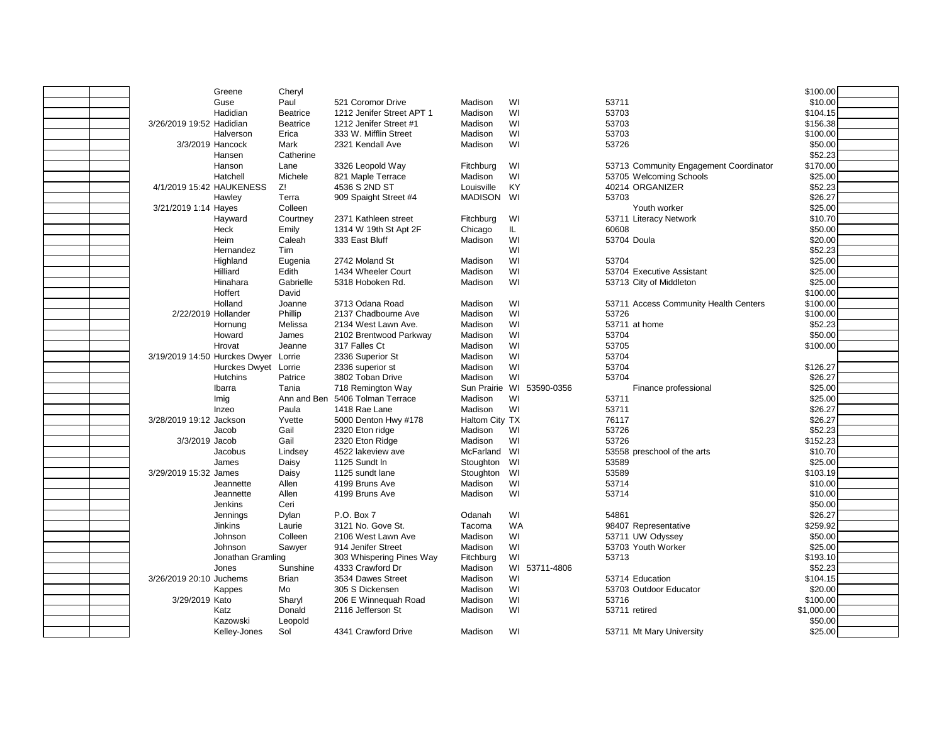|                               | Kelley-Jones         | Sol             | 4341 Crawford Drive       | Madison        | WI                        | 53711 Mt Mary University               | \$25.00    |  |
|-------------------------------|----------------------|-----------------|---------------------------|----------------|---------------------------|----------------------------------------|------------|--|
|                               | Kazowski             | Leopold         |                           |                |                           |                                        | \$50.00    |  |
|                               | Katz                 | Donald          | 2116 Jefferson St         | Madison        | WI                        | 53711 retired                          | \$1,000.00 |  |
| 3/29/2019 Kato                |                      | Sharyl          | 206 E Winnequah Road      | Madison        | WI                        | 53716                                  | \$100.00   |  |
|                               | Kappes               | Mo              | 305 S Dickensen           | Madison        | WI                        | 53703 Outdoor Educator                 | \$20.00    |  |
| 3/26/2019 20:10 Juchems       |                      | <b>Brian</b>    | 3534 Dawes Street         | Madison        | WI                        | 53714 Education                        | \$104.15   |  |
|                               | Jones                | Sunshine        | 4333 Crawford Dr          | Madison        | WI 53711-4806             |                                        | \$52.23    |  |
|                               | Jonathan Gramling    |                 | 303 Whispering Pines Way  | Fitchburg      | WI                        | 53713                                  | \$193.10   |  |
|                               | Johnson              | Sawyer          | 914 Jenifer Street        | Madison        | WI                        | 53703 Youth Worker                     | \$25.00    |  |
|                               | Johnson              | Colleen         | 2106 West Lawn Ave        | Madison        | WI                        | 53711 UW Odyssey                       | \$50.00    |  |
|                               | <b>Jinkins</b>       | Laurie          | 3121 No. Gove St.         | Tacoma         | <b>WA</b>                 | 98407 Representative                   | \$259.92   |  |
|                               | Jennings             | Dylan           | P.O. Box 7                | Odanah         | WI                        | 54861                                  | \$26.27    |  |
|                               | Jenkins              | Ceri            |                           |                |                           |                                        | \$50.00    |  |
|                               | Jeannette            | Allen           | 4199 Bruns Ave            | Madison        | WI                        | 53714                                  | \$10.00    |  |
|                               | Jeannette            | Allen           | 4199 Bruns Ave            | Madison        | WI                        | 53714                                  | \$10.00    |  |
| 3/29/2019 15:32 James         |                      | Daisy           | 1125 sundt lane           | Stoughton      | WI                        | 53589                                  | \$103.19   |  |
|                               | James                | Daisy           | 1125 Sundt In             | Stoughton      | WI                        | 53589                                  | \$25.00    |  |
|                               | Jacobus              | Lindsey         | 4522 lakeview ave         | McFarland WI   |                           | 53558 preschool of the arts            | \$10.70    |  |
| 3/3/2019 Jacob                |                      | Gail            | 2320 Eton Ridge           | Madison        | WI                        | 53726                                  | \$152.23   |  |
|                               | Jacob                | Gail            | 2320 Eton ridge           | Madison        | WI                        | 53726                                  | \$52.23    |  |
| 3/28/2019 19:12 Jackson       |                      | Yvette          | 5000 Denton Hwy #178      | Haltom City TX |                           | 76117                                  | \$26.27    |  |
|                               | Inzeo                | Paula           | 1418 Rae Lane             | Madison        | WI                        | 53711                                  | \$26.27    |  |
|                               | Imig                 | Ann and Ben     | 5406 Tolman Terrace       | Madison        | WI                        | 53711                                  | \$25.00    |  |
|                               | Ibarra               | Tania           | 718 Remington Way         |                | Sun Prairie WI 53590-0356 | Finance professional                   | \$25.00    |  |
|                               | <b>Hutchins</b>      | Patrice         | 3802 Toban Drive          | Madison        | WI                        | 53704                                  | \$26.27    |  |
|                               | Hurckes Dwyet Lorrie |                 | 2336 superior st          | Madison        | WI                        | 53704                                  | \$126.27   |  |
| 3/19/2019 14:50 Hurckes Dwyer |                      | Lorrie          | 2336 Superior St          | Madison        | WI                        | 53704                                  |            |  |
|                               | Hrovat               | Jeanne          | 317 Falles Ct             | Madison        | WI                        | 53705                                  | \$100.00   |  |
|                               | Howard               | James           | 2102 Brentwood Parkway    | Madison        | WI                        | 53704                                  | \$50.00    |  |
|                               | Hornung              | Melissa         | 2134 West Lawn Ave.       | Madison        | WI                        | 53711 at home                          | \$52.23    |  |
| 2/22/2019 Hollander           |                      | Phillip         | 2137 Chadbourne Ave       | Madison        | WI                        | 53726                                  | \$100.00   |  |
|                               | Holland              | Joanne          | 3713 Odana Road           | Madison        | WI                        | 53711 Access Community Health Centers  | \$100.00   |  |
|                               |                      |                 |                           |                |                           |                                        |            |  |
|                               | Hoffert              | David           |                           |                |                           | 53713 City of Middleton                | \$100.00   |  |
|                               | Hinahara             | Gabrielle       | 5318 Hoboken Rd.          | Madison        | WI                        |                                        | \$25.00    |  |
|                               | Hilliard             | Edith           | 1434 Wheeler Court        | Madison        | WI                        | 53704 Executive Assistant              | \$25.00    |  |
|                               | Highland             | Eugenia         | 2742 Moland St            | Madison        | WI                        | 53704                                  | \$25.00    |  |
|                               | Hernandez            | Tim             |                           |                | WI                        |                                        | \$52.23    |  |
|                               | Heim                 | Caleah          | 333 East Bluff            | Madison        | WI                        | 53704 Doula                            | \$20.00    |  |
|                               | Heck                 | Emily           | 1314 W 19th St Apt 2F     | Chicago        | IL.                       | 60608                                  | \$50.00    |  |
|                               | Hayward              | Courtney        | 2371 Kathleen street      | Fitchburg      | WI                        | 53711 Literacy Network                 | \$10.70    |  |
| 3/21/2019 1:14 Hayes          |                      | Colleen         |                           |                |                           | Youth worker                           | \$25.00    |  |
|                               | Hawley               | Terra           | 909 Spaight Street #4     | MADISON WI     |                           | 53703                                  | \$26.27    |  |
| 4/1/2019 15:42 HAUKENESS      |                      | Z!              | 4536 S 2ND ST             | Louisville     | KY                        | 40214 ORGANIZER                        | \$52.23    |  |
|                               | Hatchell             | Michele         | 821 Maple Terrace         | Madison        | WI                        | 53705 Welcoming Schools                | \$25.00    |  |
|                               | Hanson               | Lane            | 3326 Leopold Way          | Fitchburg      | WI                        | 53713 Community Engagement Coordinator | \$170.00   |  |
|                               | Hansen               | Catherine       |                           |                |                           |                                        | \$52.23    |  |
|                               | 3/3/2019 Hancock     | Mark            | 2321 Kendall Ave          | Madison        | WI                        | 53726                                  | \$50.00    |  |
|                               | Halverson            | Erica           | 333 W. Mifflin Street     | Madison        | WI                        | 53703                                  | \$100.00   |  |
| 3/26/2019 19:52 Hadidian      |                      | <b>Beatrice</b> | 1212 Jenifer Street #1    | Madison        | WI                        | 53703                                  | \$156.38   |  |
|                               | Hadidian             | <b>Beatrice</b> | 1212 Jenifer Street APT 1 | Madison        | WI                        | 53703                                  | \$104.15   |  |
|                               | Guse                 | Paul            | 521 Coromor Drive         | Madison        | WI                        | 53711                                  | \$10.00    |  |
|                               | Greene               | Cheryl          |                           |                |                           |                                        | \$100.00   |  |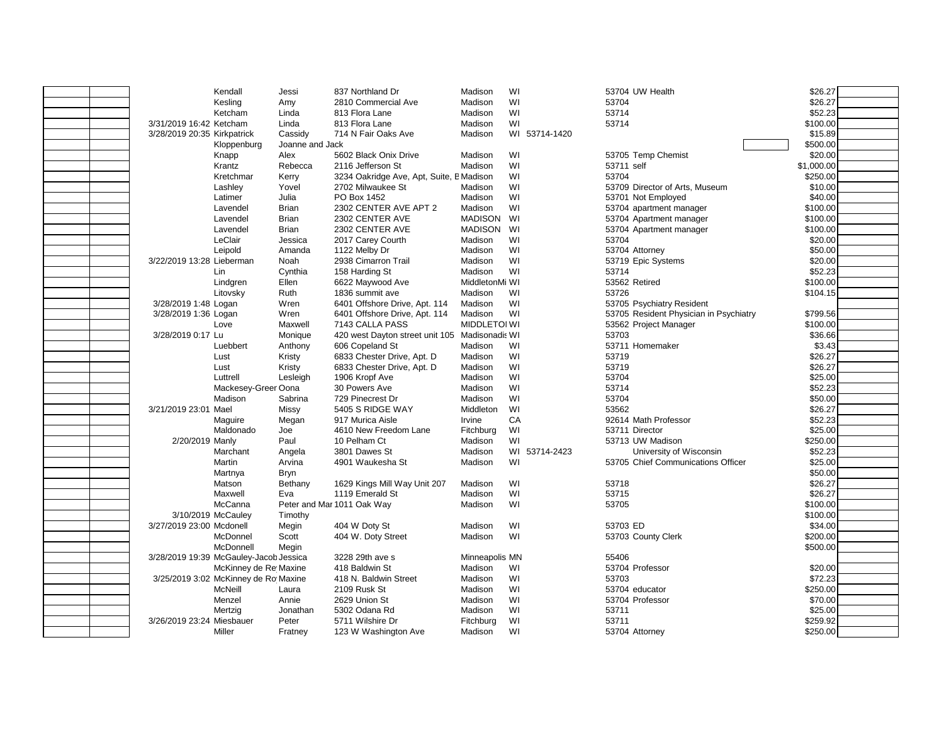|                                        | Kendall                              | Jessi           | 837 Northland Dr                         | Madison             | WI |               | 53704 UW Health                        | \$26.27    |  |
|----------------------------------------|--------------------------------------|-----------------|------------------------------------------|---------------------|----|---------------|----------------------------------------|------------|--|
|                                        | Kesling                              | Amy             | 2810 Commercial Ave                      | Madison             | WI |               | 53704                                  | \$26.27    |  |
|                                        | Ketcham                              | Linda           | 813 Flora Lane                           | Madison             | WI |               | 53714                                  | \$52.23    |  |
| 3/31/2019 16:42 Ketcham                |                                      | Linda           | 813 Flora Lane                           | Madison             | WI |               | 53714                                  | \$100.00   |  |
| 3/28/2019 20:35 Kirkpatrick            |                                      | Cassidy         | 714 N Fair Oaks Ave                      | Madison             |    | WI 53714-1420 |                                        | \$15.89    |  |
|                                        | Kloppenburg                          | Joanne and Jack |                                          |                     |    |               |                                        | \$500.00   |  |
|                                        | Knapp                                | Alex            | 5602 Black Onix Drive                    | Madison             | WI |               | 53705 Temp Chemist                     | \$20.00    |  |
|                                        | Krantz                               | Rebecca         | 2116 Jefferson St                        | Madison             | WI |               | 53711 self                             | \$1,000.00 |  |
|                                        | Kretchmar                            | Kerry           | 3234 Oakridge Ave, Apt, Suite, E Madison |                     | WI |               | 53704                                  | \$250.00   |  |
|                                        | Lashley                              | Yovel           | 2702 Milwaukee St                        | Madison             | WI |               | 53709 Director of Arts, Museum         | \$10.00    |  |
|                                        | Latimer                              | Julia           | PO Box 1452                              | Madison             | WI |               | 53701 Not Employed                     | \$40.00    |  |
|                                        | Lavendel                             | <b>Brian</b>    | 2302 CENTER AVE APT 2                    | Madison             | WI |               | 53704 apartment manager                | \$100.00   |  |
|                                        | Lavendel                             | <b>Brian</b>    | 2302 CENTER AVE                          | <b>MADISON</b>      | WI |               | 53704 Apartment manager                | \$100.00   |  |
|                                        | Lavendel                             | <b>Brian</b>    | 2302 CENTER AVE                          | <b>MADISON</b>      | WI |               | 53704 Apartment manager                | \$100.00   |  |
|                                        | LeClair                              | Jessica         | 2017 Carey Courth                        | Madison             | WI |               | 53704                                  | \$20.00    |  |
|                                        | Leipold                              | Amanda          | 1122 Melby Dr                            | Madison             | WI |               | 53704 Attorney                         | \$50.00    |  |
| 3/22/2019 13:28 Lieberman              |                                      | <b>Noah</b>     | 2938 Cimarron Trail                      | Madison             | WI |               | 53719 Epic Systems                     | \$20.00    |  |
|                                        | Lin                                  | Cynthia         | 158 Harding St                           | Madison             | WI |               | 53714                                  | \$52.23    |  |
|                                        | Lindgren                             | Ellen           | 6622 Maywood Ave                         | MiddletonMi WI      |    |               | 53562 Retired                          | \$100.00   |  |
|                                        | Litovsky                             | Ruth            | 1836 summit ave                          | Madison             | WI |               | 53726                                  | \$104.15   |  |
| 3/28/2019 1:48 Logan                   |                                      | Wren            | 6401 Offshore Drive, Apt. 114            | Madison             | WI |               | 53705 Psychiatry Resident              |            |  |
| 3/28/2019 1:36 Logan                   |                                      | Wren            | 6401 Offshore Drive, Apt. 114            | Madison             | WI |               | 53705 Resident Physician in Psychiatry | \$799.56   |  |
|                                        | Love                                 | Maxwell         | 7143 CALLA PASS                          | <b>MIDDLETOI WI</b> |    |               | 53562 Project Manager                  | \$100.00   |  |
| 3/28/2019 0:17 Lu                      |                                      | Monique         | 420 west Dayton street unit 105          | Madisonadis WI      |    |               | 53703                                  | \$36.66    |  |
|                                        | Luebbert                             | Anthony         | 606 Copeland St                          | Madison             | WI |               | 53711 Homemaker                        | \$3.43     |  |
|                                        | Lust                                 | Kristy          | 6833 Chester Drive, Apt. D               | Madison             | WI |               | 53719                                  | \$26.27    |  |
|                                        | Lust                                 | Kristy          | 6833 Chester Drive, Apt. D               | Madison             | WI |               | 53719                                  | \$26.27    |  |
|                                        | Luttrell                             | Lesleigh        | 1906 Kropf Ave                           | Madison             | WI |               | 53704                                  | \$25.00    |  |
|                                        | Mackesey-Greer Oona                  |                 | 30 Powers Ave                            | Madison             | WI |               | 53714                                  | \$52.23    |  |
|                                        | Madison                              | Sabrina         | 729 Pinecrest Dr                         | Madison             | WI |               | 53704                                  | \$50.00    |  |
| 3/21/2019 23:01 Mael                   |                                      | Missy           | 5405 S RIDGE WAY                         | Middleton           | WI |               | 53562                                  | \$26.27    |  |
|                                        | Maguire                              | Megan           | 917 Murica Aisle                         | Irvine              | CA |               | 92614 Math Professor                   | \$52.23    |  |
|                                        | Maldonado                            | Joe             | 4610 New Freedom Lane                    | Fitchburg           | WI |               | 53711 Director                         | \$25.00    |  |
| 2/20/2019 Manly                        |                                      | Paul            | 10 Pelham Ct                             | Madison             | WI |               | 53713 UW Madison                       | \$250.00   |  |
|                                        | Marchant                             | Angela          | 3801 Dawes St                            | Madison             |    | WI 53714-2423 | University of Wisconsin                | \$52.23    |  |
|                                        | Martin                               | Arvina          | 4901 Waukesha St                         | Madison             | WI |               | 53705 Chief Communications Officer     | \$25.00    |  |
|                                        | Martnya                              | <b>Bryn</b>     |                                          |                     |    |               |                                        | \$50.00    |  |
|                                        | Matson                               | Bethany         | 1629 Kings Mill Way Unit 207             | Madison             | WI |               | 53718                                  | \$26.27    |  |
|                                        | Maxwell                              | Eva             | 1119 Emerald St                          | Madison             | WI |               | 53715                                  | \$26.27    |  |
|                                        | McCanna                              |                 | Peter and Mar 1011 Oak Way               | Madison             | WI |               | 53705                                  | \$100.00   |  |
| 3/10/2019 McCauley                     |                                      | Timothy         |                                          |                     |    |               |                                        | \$100.00   |  |
| 3/27/2019 23:00 Mcdonell               |                                      | Megin           | 404 W Doty St                            | Madison             | WI |               | 53703 ED                               | \$34.00    |  |
|                                        | McDonnel                             | Scott           | 404 W. Doty Street                       | Madison             | WI |               | 53703 County Clerk                     | \$200.00   |  |
|                                        | McDonnell                            | Megin           |                                          |                     |    |               |                                        | \$500.00   |  |
| 3/28/2019 19:39 McGauley-Jacob Jessica |                                      |                 | 3228 29th ave s                          | Minneapolis MN      |    |               | 55406                                  |            |  |
|                                        | McKinney de Re Maxine                |                 | 418 Baldwin St                           | Madison             | WI |               | 53704 Professor                        | \$20.00    |  |
|                                        | 3/25/2019 3:02 McKinney de Ro Maxine |                 | 418 N. Baldwin Street                    | Madison             | WI |               | 53703                                  | \$72.23    |  |
|                                        | McNeill                              | Laura           | 2109 Rusk St                             | Madison             | WI |               | 53704 educator                         | \$250.00   |  |
|                                        | Menzel                               | Annie           | 2629 Union St                            | Madison             | WI |               | 53704 Professor                        | \$70.00    |  |
|                                        | Mertzig                              | Jonathan        | 5302 Odana Rd                            | Madison             | WI |               | 53711                                  | \$25.00    |  |
| 3/26/2019 23:24 Miesbauer              |                                      | Peter           | 5711 Wilshire Dr                         | Fitchburg           | WI |               | 53711                                  | \$259.92   |  |
|                                        | Miller                               | Fratney         | 123 W Washington Ave                     | Madison             | WI |               | 53704 Attorney                         | \$250.00   |  |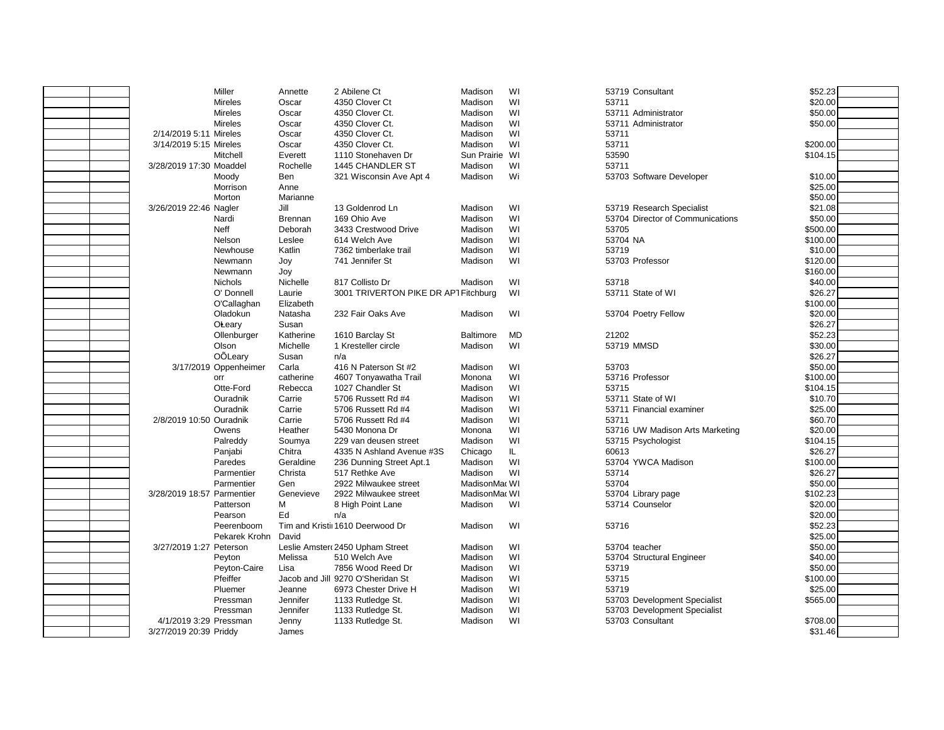|                            | Miller                | Annette        | 2 Abilene Ct                         | Madison          | WI        | 53719 Consultant                 | \$52.23  |
|----------------------------|-----------------------|----------------|--------------------------------------|------------------|-----------|----------------------------------|----------|
|                            | <b>Mireles</b>        | Oscar          | 4350 Clover Ct                       | Madison          | WI        | 53711                            | \$20.00  |
|                            | Mireles               | Oscar          | 4350 Clover Ct.                      | Madison          | WI        | 53711 Administrator              | \$50.00  |
|                            | <b>Mireles</b>        | Oscar          | 4350 Clover Ct.                      | Madison          | WI        | 53711 Administrator              | \$50.00  |
| 2/14/2019 5:11 Mireles     |                       | Oscar          | 4350 Clover Ct.                      | Madison          | WI        | 53711                            |          |
| 3/14/2019 5:15 Mireles     |                       | Oscar          | 4350 Clover Ct.                      | Madison          | WI        | 53711                            | \$200.00 |
|                            | Mitchell              | Everett        | 1110 Stonehaven Dr                   | Sun Prairie WI   |           | 53590                            | \$104.15 |
| 3/28/2019 17:30 Moaddel    |                       | Rochelle       | 1445 CHANDLER ST                     | Madison          | WI        | 53711                            |          |
|                            | Moody                 | Ben            | 321 Wisconsin Ave Apt 4              | Madison          | Wi        | 53703 Software Developer         | \$10.00  |
|                            | Morrison              | Anne           |                                      |                  |           |                                  | \$25.00  |
|                            | Morton                | Marianne       |                                      |                  |           |                                  | \$50.00  |
| 3/26/2019 22:46 Nagler     |                       | Jill           | 13 Goldenrod Ln                      | Madison          | WI        | 53719 Research Specialist        | \$21.08  |
|                            | Nardi                 | <b>Brennan</b> | 169 Ohio Ave                         | Madison          | WI        | 53704 Director of Communications | \$50.00  |
|                            | <b>Neff</b>           | Deborah        | 3433 Crestwood Drive                 | Madison          | WI        | 53705                            | \$500.00 |
|                            | Nelson                | Leslee         | 614 Welch Ave                        | Madison          | WI        | 53704 NA                         | \$100.00 |
|                            | Newhouse              | Katlin         | 7362 timberlake trail                | Madison          | WI        | 53719                            | \$10.00  |
|                            | Newmann               | Joy            | 741 Jennifer St                      | Madison          | WI        | 53703 Professor                  | \$120.00 |
|                            | Newmann               | Joy            |                                      |                  |           |                                  | \$160.00 |
|                            | <b>Nichols</b>        | Nichelle       | 817 Collisto Dr                      | Madison          | WI        | 53718                            | \$40.00  |
|                            | O' Donnell            | Laurie         | 3001 TRIVERTON PIKE DR AP1 Fitchburg |                  | WI        | 53711 State of WI                | \$26.27  |
|                            | O'Callaghan           | Elizabeth      |                                      |                  |           |                                  | \$100.00 |
|                            | Oladokun              | Natasha        | 232 Fair Oaks Ave                    | Madison          | WI        | 53704 Poetry Fellow              | \$20.00  |
|                            | <b>OLeary</b>         | Susan          |                                      |                  |           |                                  | \$26.27  |
|                            | Ollenburger           | Katherine      | 1610 Barclay St                      | <b>Baltimore</b> | <b>MD</b> | 21202                            | \$52.23  |
|                            | Olson                 | Michelle       | 1 Kresteller circle                  | Madison          | WI        | 53719 MMSD                       | \$30.00  |
|                            | OÕLeary               | Susan          | n/a                                  |                  |           |                                  | \$26.27  |
|                            | 3/17/2019 Oppenheimer | Carla          | 416 N Paterson St #2                 | Madison          | WI        | 53703                            | \$50.00  |
|                            | orr                   | catherine      | 4607 Tonyawatha Trail                | Monona           | WI        | 53716 Professor                  | \$100.00 |
|                            | Otte-Ford             | Rebecca        | 1027 Chandler St                     | Madison          | WI        | 53715                            | \$104.15 |
|                            | Ouradnik              | Carrie         | 5706 Russett Rd #4                   | Madison          | WI        | 53711 State of WI                | \$10.70  |
|                            | Ouradnik              | Carrie         | 5706 Russett Rd #4                   | Madison          | WI        | 53711 Financial examiner         | \$25.00  |
| 2/8/2019 10:50 Ouradnik    |                       | Carrie         | 5706 Russett Rd #4                   | Madison          | WI        | 53711                            | \$60.70  |
|                            | Owens                 | Heather        | 5430 Monona Dr                       | Monona           | WI        | 53716 UW Madison Arts Marketing  | \$20.00  |
|                            | Palreddy              | Soumya         | 229 van deusen street                | Madison          | WI        | 53715 Psychologist               | \$104.15 |
|                            | Panjabi               | Chitra         | 4335 N Ashland Avenue #3S            | Chicago          | IL.       | 60613                            | \$26.27  |
|                            | Paredes               | Geraldine      | 236 Dunning Street Apt.1             | Madison          | WI        | 53704 YWCA Madison               | \$100.00 |
|                            | Parmentier            | Christa        | 517 Rethke Ave                       | Madison          | WI        | 53714                            | \$26.27  |
|                            | Parmentier            | Gen            | 2922 Milwaukee street                | MadisonMac WI    |           | 53704                            | \$50.00  |
| 3/28/2019 18:57 Parmentier |                       | Genevieve      | 2922 Milwaukee street                | MadisonMar WI    |           | 53704 Library page               | \$102.23 |
|                            | Patterson             | M              | 8 High Point Lane                    | Madison          | WI        | 53714 Counselor                  | \$20.00  |
|                            | Pearson               | Ed             | n/a                                  |                  |           |                                  | \$20.00  |
|                            | Peerenboom            |                | Tim and Kristil 1610 Deerwood Dr     | Madison          | WI        | 53716                            | \$52.23  |
|                            | Pekarek Krohn         | David          |                                      |                  |           |                                  | \$25.00  |
| 3/27/2019 1:27 Peterson    |                       |                | Leslie Amster 2450 Upham Street      | Madison          | WI        | 53704 teacher                    | \$50.00  |
|                            | Peyton                | Melissa        | 510 Welch Ave                        | Madison          | WI        | 53704 Structural Engineer        | \$40.00  |
|                            | Peyton-Caire          | Lisa           | 7856 Wood Reed Dr                    | Madison          | WI        | 53719                            | \$50.00  |
|                            | Pfeiffer              |                | Jacob and Jill 9270 O'Sheridan St    | Madison          | WI        | 53715                            | \$100.00 |
|                            | Pluemer               | Jeanne         | 6973 Chester Drive H                 | Madison          | WI        | 53719                            | \$25.00  |
|                            | Pressman              | Jennifer       | 1133 Rutledge St.                    | Madison          | WI        | 53703 Development Specialist     | \$565.00 |
|                            | Pressman              | Jennifer       | 1133 Rutledge St.                    | Madison          | WI        | 53703 Development Specialist     |          |
| 4/1/2019 3:29 Pressman     |                       | Jenny          | 1133 Rutledge St.                    | Madison          | WI        | 53703 Consultant                 | \$708.00 |
| 3/27/2019 20:39 Priddy     |                       | James          |                                      |                  |           |                                  | \$31.46  |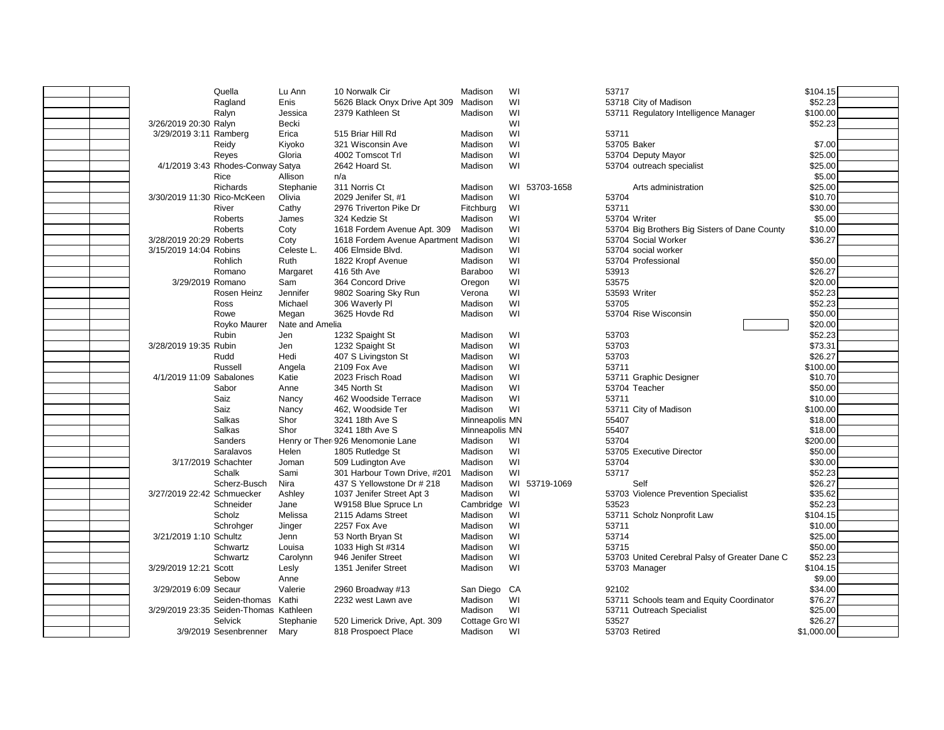|                                        | Quella                            | Lu Ann          | 10 Norwalk Cir                       | Madison        | WI            | 53717                                         | \$104.15   |  |
|----------------------------------------|-----------------------------------|-----------------|--------------------------------------|----------------|---------------|-----------------------------------------------|------------|--|
|                                        | Ragland                           | Enis            | 5626 Black Onyx Drive Apt 309        | Madison        | WI            | 53718 City of Madison                         | \$52.23    |  |
|                                        | Ralyn                             | Jessica         | 2379 Kathleen St                     | Madison        | WI            | 53711 Regulatory Intelligence Manager         | \$100.00   |  |
| 3/26/2019 20:30 Ralyn                  |                                   | <b>Becki</b>    |                                      |                | WI            |                                               | \$52.23    |  |
| 3/29/2019 3:11 Ramberg                 |                                   | Erica           | 515 Briar Hill Rd                    | Madison        | WI            | 53711                                         |            |  |
|                                        | Reidy                             | Kiyoko          | 321 Wisconsin Ave                    | Madison        | WI            | 53705 Baker                                   | \$7.00     |  |
|                                        | Reyes                             | Gloria          | 4002 Tomscot Trl                     | Madison        | WI            | 53704 Deputy Mayor                            | \$25.00    |  |
|                                        | 4/1/2019 3:43 Rhodes-Conway Satya |                 | 2642 Hoard St.                       | Madison        | WI            | 53704 outreach specialist                     | \$25.00    |  |
|                                        | Rice                              | Allison         | n/a                                  |                |               |                                               | \$5.00     |  |
|                                        | <b>Richards</b>                   | Stephanie       | 311 Norris Ct                        | Madison        | WI 53703-1658 | Arts administration                           | \$25.00    |  |
| 3/30/2019 11:30 Rico-McKeen            |                                   | Olivia          | 2029 Jenifer St, #1                  | Madison        | WI            | 53704                                         | \$10.70    |  |
|                                        | River                             | Cathy           | 2976 Triverton Pike Dr               | Fitchburg      | WI            | 53711                                         | \$30.00    |  |
|                                        | <b>Roberts</b>                    | James           | 324 Kedzie St                        | Madison        | WI            | 53704 Writer                                  | \$5.00     |  |
|                                        | <b>Roberts</b>                    | Coty            | 1618 Fordem Avenue Apt. 309          | Madison        | WI            | 53704 Big Brothers Big Sisters of Dane County | \$10.00    |  |
| 3/28/2019 20:29 Roberts                |                                   | Coty            | 1618 Fordem Avenue Apartment Madison |                | WI            | 53704 Social Worker                           | \$36.27    |  |
| 3/15/2019 14:04 Robins                 |                                   | Celeste L.      | 406 Elmside Blvd.                    | Madison        | WI            | 53704 social worker                           |            |  |
|                                        | Rohlich                           | Ruth            | 1822 Kropf Avenue                    | Madison        | WI            | 53704 Professional                            | \$50.00    |  |
|                                        | Romano                            | Margaret        | 416 5th Ave                          | Baraboo        | WI            | 53913                                         | \$26.27    |  |
| 3/29/2019 Romano                       |                                   | Sam             | 364 Concord Drive                    | Oregon         | WI            | 53575                                         | \$20.00    |  |
|                                        | Rosen Heinz                       | Jennifer        | 9802 Soaring Sky Run                 | Verona         | WI            | 53593 Writer                                  | \$52.23    |  |
|                                        | <b>Ross</b>                       | Michael         | 306 Waverly Pl                       | Madison        | WI            | 53705                                         | \$52.23    |  |
|                                        | Rowe                              | Megan           | 3625 Hovde Rd                        | Madison        | WI            | 53704 Rise Wisconsin                          | \$50.00    |  |
|                                        | Royko Maurer                      | Nate and Amelia |                                      |                |               |                                               | \$20.00    |  |
|                                        | <b>Rubin</b>                      | Jen             | 1232 Spaight St                      | Madison        | WI            | 53703                                         | \$52.23    |  |
| 3/28/2019 19:35 Rubin                  |                                   | Jen             | 1232 Spaight St                      | Madison        | WI            | 53703                                         | \$73.31    |  |
|                                        | Rudd                              | Hedi            | 407 S Livingston St                  | Madison        | WI            | 53703                                         | \$26.27    |  |
|                                        | Russell                           | Angela          | 2109 Fox Ave                         | Madison        | WI            | 53711                                         | \$100.00   |  |
| 4/1/2019 11:09 Sabalones               |                                   | Katie           | 2023 Frisch Road                     | Madison        | WI            | 53711 Graphic Designer                        | \$10.70    |  |
|                                        | Sabor                             | Anne            | 345 North St                         | Madison        | WI            | 53704 Teacher                                 | \$50.00    |  |
|                                        | Saiz                              | Nancy           | 462 Woodside Terrace                 | Madison        | WI            | 53711                                         | \$10.00    |  |
|                                        | Saiz                              | Nancy           | 462, Woodside Ter                    | Madison        | WI            | 53711 City of Madison                         | \$100.00   |  |
|                                        | <b>Salkas</b>                     | Shor            | 3241 18th Ave S                      | Minneapolis MN |               | 55407                                         | \$18.00    |  |
|                                        | Salkas                            | Shor            | 3241 18th Ave S                      | Minneapolis MN |               | 55407                                         | \$18.00    |  |
|                                        | Sanders                           |                 | Henry or Ther 926 Menomonie Lane     | Madison        | WI            | 53704                                         | \$200.00   |  |
|                                        | Saralavos                         | Helen           | 1805 Rutledge St                     | Madison        | WI            | 53705 Executive Director                      | \$50.00    |  |
| 3/17/2019 Schachter                    |                                   | Joman           | 509 Ludington Ave                    | Madison        | WI            | 53704                                         | \$30.00    |  |
|                                        | Schalk                            | Sami            | 301 Harbour Town Drive, #201         | Madison        | WI            | 53717                                         | \$52.23    |  |
|                                        | Scherz-Busch                      | Nira            | 437 S Yellowstone Dr # 218           | Madison        | WI 53719-1069 | Self                                          | \$26.27    |  |
| 3/27/2019 22:42 Schmuecker             |                                   | Ashley          | 1037 Jenifer Street Apt 3            | Madison        | WI            | 53703 Violence Prevention Specialist          | \$35.62    |  |
|                                        | Schneider                         | Jane            | W9158 Blue Spruce Ln                 | Cambridge      | WI            | 53523                                         | \$52.23    |  |
|                                        | Scholz                            | Melissa         | 2115 Adams Street                    | Madison        | WI            | 53711 Scholz Nonprofit Law                    | \$104.15   |  |
|                                        | Schrohger                         | Jinger          | 2257 Fox Ave                         | Madison        | WI            | 53711                                         | \$10.00    |  |
| 3/21/2019 1:10 Schultz                 |                                   | Jenn            | 53 North Bryan St                    | Madison        | WI            | 53714                                         | \$25.00    |  |
|                                        | Schwartz                          | Louisa          | 1033 High St #314                    | Madison        | WI            | 53715                                         | \$50.00    |  |
|                                        | Schwartz                          | Carolynn        | 946 Jenifer Street                   | Madison        | WI            | 53703 United Cerebral Palsy of Greater Dane C | \$52.23    |  |
| 3/29/2019 12:21 Scott                  |                                   | Lesly           | 1351 Jenifer Street                  | Madison        | WI            | 53703 Manager                                 | \$104.15   |  |
|                                        | Sebow                             | Anne            |                                      |                |               |                                               | \$9.00     |  |
| 3/29/2019 6:09 Secaur                  |                                   | Valerie         | 2960 Broadway #13                    | San Diego      | CA            | 92102                                         | \$34.00    |  |
|                                        | Seiden-thomas                     | Kathi           | 2232 west Lawn ave                   | Madison        | WI            | 53711 Schools team and Equity Coordinator     | \$76.27    |  |
| 3/29/2019 23:35 Seiden-Thomas Kathleen |                                   |                 |                                      | Madison        | WI            | 53711 Outreach Specialist                     | \$25.00    |  |
|                                        | Selvick                           | Stephanie       | 520 Limerick Drive, Apt. 309         | Cottage Gro WI |               | 53527                                         | \$26.27    |  |
|                                        | 3/9/2019 Sesenbrenner             | Mary            | 818 Prospoect Place                  | Madison        | WI            | 53703 Retired                                 | \$1,000.00 |  |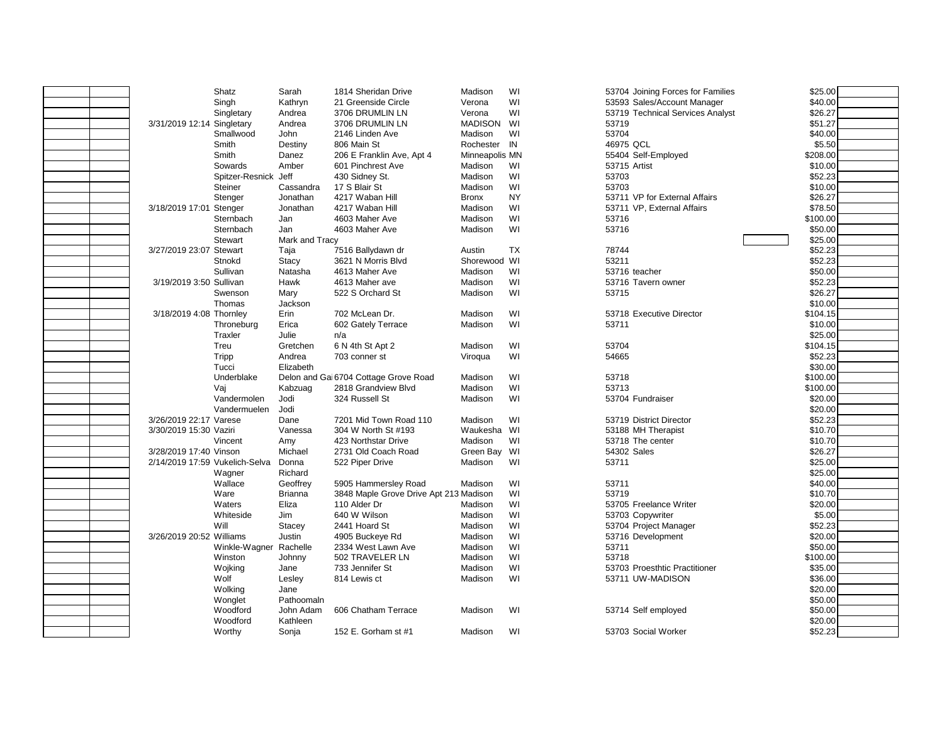| WI<br>53593 Sales/Account Manager<br>\$40.00<br>Singh<br>Kathryn<br>21 Greenside Circle<br>Verona<br>3706 DRUMLIN LN<br>WI<br>53719 Technical Services Analyst<br>\$26.27<br>Singletary<br>Andrea<br>Verona<br><b>MADISON</b><br>WI<br>\$51.27<br>3/31/2019 12:14 Singletary<br>Andrea<br>3706 DRUMLIN LN<br>53719<br>WI<br>53704<br>\$40.00<br>Smallwood<br>John<br>2146 Linden Ave<br>Madison<br>IN<br>46975 QCL<br>\$5.50<br>Smith<br>Destiny<br>806 Main St<br>Rochester<br>\$208.00<br>Smith<br>Danez<br>206 E Franklin Ave, Apt 4<br>Minneapolis MN<br>55404 Self-Employed<br>WI<br>\$10.00<br>Sowards<br>Amber<br>Madison<br>53715 Artist<br>601 Pinchrest Ave<br>Jeff<br>WI<br>53703<br>\$52.23<br>Spitzer-Resnick<br>430 Sidney St.<br>Madison<br>Madison<br>WI<br>Steiner<br>Cassandra<br>17 S Blair St<br>53703<br>\$10.00<br><b>NY</b><br>\$26.27<br>Jonathan<br>4217 Waban Hill<br>53711 VP for External Affairs<br>Stenger<br><b>Bronx</b><br>WI<br>53711 VP. External Affairs<br>\$78.50<br>3/18/2019 17:01 Stenger<br>Jonathan<br>4217 Waban Hill<br>Madison<br>Madison<br>WI<br>Sternbach<br>4603 Maher Ave<br>53716<br>\$100.00<br>Jan<br>WI<br>53716<br>\$50.00<br>Sternbach<br>Jan<br>4603 Maher Ave<br>Madison<br>\$25.00<br><b>Stewart</b><br>Mark and Tracy<br><b>TX</b><br>\$52.23<br>3/27/2019 23:07 Stewart<br>7516 Ballydawn dr<br>Austin<br>78744<br>Taja<br>Shorewood WI<br>53211<br>\$52.23<br>Stnokd<br>3621 N Morris Blvd<br><b>Stacy</b><br>WI<br>\$50.00<br>Sullivan<br>Natasha<br>4613 Maher Ave<br>Madison<br>53716 teacher<br>Madison<br>WI<br>\$52.23<br>3/19/2019 3:50 Sullivan<br>Hawk<br>4613 Maher ave<br>53716 Tavern owner<br>Madison<br>WI<br>\$26.27<br>522 S Orchard St<br>53715<br>Swenson<br>Mary<br>\$10.00<br>Thomas<br>Jackson<br>WI<br>\$104.15<br>3/18/2019 4:08 Thornley<br>Erin<br>702 McLean Dr.<br>Madison<br>53718 Executive Director<br>WI<br>Erica<br>602 Gately Terrace<br>Madison<br>53711<br>\$10.00<br>Throneburg<br>\$25.00<br>Traxler<br>Julie<br>n/a<br>WI<br>Treu<br>Gretchen<br>6 N 4th St Apt 2<br>Madison<br>53704<br>\$104.15<br>WI<br>\$52.23<br>Tripp<br>Andrea<br>54665<br>703 conner st<br>Viroqua<br>\$30.00<br>Tucci<br>Elizabeth<br>WI<br>53718<br>\$100.00<br>Underblake<br>Delon and Gai 6704 Cottage Grove Road<br>Madison<br>WI<br>2818 Grandview Blvd<br>Madison<br>53713<br>\$100.00<br>Vaj<br>Kabzuag<br>WI<br>Jodi<br>324 Russell St<br>Madison<br>53704 Fundraiser<br>\$20.00<br>Vandermolen<br>\$20.00<br>Jodi<br>Vandermuelen<br>WI<br>\$52.23<br>3/26/2019 22:17 Varese<br>Madison<br>Dane<br>7201 Mid Town Road 110<br>53719 District Director<br>WI<br>\$10.70<br>3/30/2019 15:30 Vaziri<br>304 W North St #193<br>Waukesha<br>53188 MH Therapist<br>Vanessa<br>\$10.70<br>423 Northstar Drive<br>Madison<br>WI<br>53718 The center<br>Vincent<br>Amy<br>Michael<br>WI<br>54302 Sales<br>\$26.27<br>3/28/2019 17:40 Vinson<br>2731 Old Coach Road<br>Green Bay<br>WI<br>2/14/2019 17:59 Vukelich-Selva<br>53711<br>\$25.00<br>Donna<br>522 Piper Drive<br>Madison<br>\$25.00<br>Richard<br>Wagner<br>Wallace<br>Geoffrey<br>Madison<br>WI<br>53711<br>\$40.00<br>5905 Hammersley Road<br>WI<br>53719<br>Ware<br>3848 Maple Grove Drive Apt 213 Madison<br>\$10.70<br>Brianna<br>Waters<br>Eliza<br>110 Alder Dr<br>WI<br>53705 Freelance Writer<br>\$20.00<br>Madison<br>WI<br>Whiteside<br>640 W Wilson<br>Madison<br>\$5.00<br>Jim<br>53703 Copywriter<br>WI<br>Will<br>\$52.23<br>Stacey<br>2441 Hoard St<br>Madison<br>53704 Project Manager<br>3/26/2019 20:52 Williams<br>Madison<br>WI<br>\$20.00<br>Justin<br>4905 Buckeye Rd<br>53716 Development<br>WI<br>Madison<br>53711<br>\$50.00<br>Winkle-Wagner<br>Rachelle<br>2334 West Lawn Ave<br>502 TRAVELER LN<br>Madison<br>WI<br>53718<br>\$100.00<br>Winston<br>Johnny<br>WI<br>733 Jennifer St<br>Madison<br>53703 Proesthtic Practitioner<br>\$35.00<br>Wojking<br>Jane<br>WI<br>Wolf<br>Madison<br>53711 UW-MADISON<br>\$36.00<br>Lesley<br>814 Lewis ct<br>\$20.00<br>Wolking<br>Jane<br>\$50.00<br>Wonglet<br>Pathoomaln |  | Shatz    | Sarah     | 1814 Sheridan Drive | Madison | WI | 53704 Joining Forces for Families | \$25.00 |  |
|---------------------------------------------------------------------------------------------------------------------------------------------------------------------------------------------------------------------------------------------------------------------------------------------------------------------------------------------------------------------------------------------------------------------------------------------------------------------------------------------------------------------------------------------------------------------------------------------------------------------------------------------------------------------------------------------------------------------------------------------------------------------------------------------------------------------------------------------------------------------------------------------------------------------------------------------------------------------------------------------------------------------------------------------------------------------------------------------------------------------------------------------------------------------------------------------------------------------------------------------------------------------------------------------------------------------------------------------------------------------------------------------------------------------------------------------------------------------------------------------------------------------------------------------------------------------------------------------------------------------------------------------------------------------------------------------------------------------------------------------------------------------------------------------------------------------------------------------------------------------------------------------------------------------------------------------------------------------------------------------------------------------------------------------------------------------------------------------------------------------------------------------------------------------------------------------------------------------------------------------------------------------------------------------------------------------------------------------------------------------------------------------------------------------------------------------------------------------------------------------------------------------------------------------------------------------------------------------------------------------------------------------------------------------------------------------------------------------------------------------------------------------------------------------------------------------------------------------------------------------------------------------------------------------------------------------------------------------------------------------------------------------------------------------------------------------------------------------------------------------------------------------------------------------------------------------------------------------------------------------------------------------------------------------------------------------------------------------------------------------------------------------------------------------------------------------------------------------------------------------------------------------------------------------------------------------------------------------------------------------------------------------------------------------------------------------------------------------------------------------------------------------------------------------------------------------------------------------------------------------------------------------------------------------------------------------------------------------------------------------------------------------------------------------------------------------------------------|--|----------|-----------|---------------------|---------|----|-----------------------------------|---------|--|
|                                                                                                                                                                                                                                                                                                                                                                                                                                                                                                                                                                                                                                                                                                                                                                                                                                                                                                                                                                                                                                                                                                                                                                                                                                                                                                                                                                                                                                                                                                                                                                                                                                                                                                                                                                                                                                                                                                                                                                                                                                                                                                                                                                                                                                                                                                                                                                                                                                                                                                                                                                                                                                                                                                                                                                                                                                                                                                                                                                                                                                                                                                                                                                                                                                                                                                                                                                                                                                                                                                                                                                                                                                                                                                                                                                                                                                                                                                                                                                                                                                                                                       |  |          |           |                     |         |    |                                   |         |  |
|                                                                                                                                                                                                                                                                                                                                                                                                                                                                                                                                                                                                                                                                                                                                                                                                                                                                                                                                                                                                                                                                                                                                                                                                                                                                                                                                                                                                                                                                                                                                                                                                                                                                                                                                                                                                                                                                                                                                                                                                                                                                                                                                                                                                                                                                                                                                                                                                                                                                                                                                                                                                                                                                                                                                                                                                                                                                                                                                                                                                                                                                                                                                                                                                                                                                                                                                                                                                                                                                                                                                                                                                                                                                                                                                                                                                                                                                                                                                                                                                                                                                                       |  |          |           |                     |         |    |                                   |         |  |
|                                                                                                                                                                                                                                                                                                                                                                                                                                                                                                                                                                                                                                                                                                                                                                                                                                                                                                                                                                                                                                                                                                                                                                                                                                                                                                                                                                                                                                                                                                                                                                                                                                                                                                                                                                                                                                                                                                                                                                                                                                                                                                                                                                                                                                                                                                                                                                                                                                                                                                                                                                                                                                                                                                                                                                                                                                                                                                                                                                                                                                                                                                                                                                                                                                                                                                                                                                                                                                                                                                                                                                                                                                                                                                                                                                                                                                                                                                                                                                                                                                                                                       |  |          |           |                     |         |    |                                   |         |  |
|                                                                                                                                                                                                                                                                                                                                                                                                                                                                                                                                                                                                                                                                                                                                                                                                                                                                                                                                                                                                                                                                                                                                                                                                                                                                                                                                                                                                                                                                                                                                                                                                                                                                                                                                                                                                                                                                                                                                                                                                                                                                                                                                                                                                                                                                                                                                                                                                                                                                                                                                                                                                                                                                                                                                                                                                                                                                                                                                                                                                                                                                                                                                                                                                                                                                                                                                                                                                                                                                                                                                                                                                                                                                                                                                                                                                                                                                                                                                                                                                                                                                                       |  |          |           |                     |         |    |                                   |         |  |
|                                                                                                                                                                                                                                                                                                                                                                                                                                                                                                                                                                                                                                                                                                                                                                                                                                                                                                                                                                                                                                                                                                                                                                                                                                                                                                                                                                                                                                                                                                                                                                                                                                                                                                                                                                                                                                                                                                                                                                                                                                                                                                                                                                                                                                                                                                                                                                                                                                                                                                                                                                                                                                                                                                                                                                                                                                                                                                                                                                                                                                                                                                                                                                                                                                                                                                                                                                                                                                                                                                                                                                                                                                                                                                                                                                                                                                                                                                                                                                                                                                                                                       |  |          |           |                     |         |    |                                   |         |  |
|                                                                                                                                                                                                                                                                                                                                                                                                                                                                                                                                                                                                                                                                                                                                                                                                                                                                                                                                                                                                                                                                                                                                                                                                                                                                                                                                                                                                                                                                                                                                                                                                                                                                                                                                                                                                                                                                                                                                                                                                                                                                                                                                                                                                                                                                                                                                                                                                                                                                                                                                                                                                                                                                                                                                                                                                                                                                                                                                                                                                                                                                                                                                                                                                                                                                                                                                                                                                                                                                                                                                                                                                                                                                                                                                                                                                                                                                                                                                                                                                                                                                                       |  |          |           |                     |         |    |                                   |         |  |
|                                                                                                                                                                                                                                                                                                                                                                                                                                                                                                                                                                                                                                                                                                                                                                                                                                                                                                                                                                                                                                                                                                                                                                                                                                                                                                                                                                                                                                                                                                                                                                                                                                                                                                                                                                                                                                                                                                                                                                                                                                                                                                                                                                                                                                                                                                                                                                                                                                                                                                                                                                                                                                                                                                                                                                                                                                                                                                                                                                                                                                                                                                                                                                                                                                                                                                                                                                                                                                                                                                                                                                                                                                                                                                                                                                                                                                                                                                                                                                                                                                                                                       |  |          |           |                     |         |    |                                   |         |  |
|                                                                                                                                                                                                                                                                                                                                                                                                                                                                                                                                                                                                                                                                                                                                                                                                                                                                                                                                                                                                                                                                                                                                                                                                                                                                                                                                                                                                                                                                                                                                                                                                                                                                                                                                                                                                                                                                                                                                                                                                                                                                                                                                                                                                                                                                                                                                                                                                                                                                                                                                                                                                                                                                                                                                                                                                                                                                                                                                                                                                                                                                                                                                                                                                                                                                                                                                                                                                                                                                                                                                                                                                                                                                                                                                                                                                                                                                                                                                                                                                                                                                                       |  |          |           |                     |         |    |                                   |         |  |
|                                                                                                                                                                                                                                                                                                                                                                                                                                                                                                                                                                                                                                                                                                                                                                                                                                                                                                                                                                                                                                                                                                                                                                                                                                                                                                                                                                                                                                                                                                                                                                                                                                                                                                                                                                                                                                                                                                                                                                                                                                                                                                                                                                                                                                                                                                                                                                                                                                                                                                                                                                                                                                                                                                                                                                                                                                                                                                                                                                                                                                                                                                                                                                                                                                                                                                                                                                                                                                                                                                                                                                                                                                                                                                                                                                                                                                                                                                                                                                                                                                                                                       |  |          |           |                     |         |    |                                   |         |  |
|                                                                                                                                                                                                                                                                                                                                                                                                                                                                                                                                                                                                                                                                                                                                                                                                                                                                                                                                                                                                                                                                                                                                                                                                                                                                                                                                                                                                                                                                                                                                                                                                                                                                                                                                                                                                                                                                                                                                                                                                                                                                                                                                                                                                                                                                                                                                                                                                                                                                                                                                                                                                                                                                                                                                                                                                                                                                                                                                                                                                                                                                                                                                                                                                                                                                                                                                                                                                                                                                                                                                                                                                                                                                                                                                                                                                                                                                                                                                                                                                                                                                                       |  |          |           |                     |         |    |                                   |         |  |
|                                                                                                                                                                                                                                                                                                                                                                                                                                                                                                                                                                                                                                                                                                                                                                                                                                                                                                                                                                                                                                                                                                                                                                                                                                                                                                                                                                                                                                                                                                                                                                                                                                                                                                                                                                                                                                                                                                                                                                                                                                                                                                                                                                                                                                                                                                                                                                                                                                                                                                                                                                                                                                                                                                                                                                                                                                                                                                                                                                                                                                                                                                                                                                                                                                                                                                                                                                                                                                                                                                                                                                                                                                                                                                                                                                                                                                                                                                                                                                                                                                                                                       |  |          |           |                     |         |    |                                   |         |  |
|                                                                                                                                                                                                                                                                                                                                                                                                                                                                                                                                                                                                                                                                                                                                                                                                                                                                                                                                                                                                                                                                                                                                                                                                                                                                                                                                                                                                                                                                                                                                                                                                                                                                                                                                                                                                                                                                                                                                                                                                                                                                                                                                                                                                                                                                                                                                                                                                                                                                                                                                                                                                                                                                                                                                                                                                                                                                                                                                                                                                                                                                                                                                                                                                                                                                                                                                                                                                                                                                                                                                                                                                                                                                                                                                                                                                                                                                                                                                                                                                                                                                                       |  |          |           |                     |         |    |                                   |         |  |
|                                                                                                                                                                                                                                                                                                                                                                                                                                                                                                                                                                                                                                                                                                                                                                                                                                                                                                                                                                                                                                                                                                                                                                                                                                                                                                                                                                                                                                                                                                                                                                                                                                                                                                                                                                                                                                                                                                                                                                                                                                                                                                                                                                                                                                                                                                                                                                                                                                                                                                                                                                                                                                                                                                                                                                                                                                                                                                                                                                                                                                                                                                                                                                                                                                                                                                                                                                                                                                                                                                                                                                                                                                                                                                                                                                                                                                                                                                                                                                                                                                                                                       |  |          |           |                     |         |    |                                   |         |  |
|                                                                                                                                                                                                                                                                                                                                                                                                                                                                                                                                                                                                                                                                                                                                                                                                                                                                                                                                                                                                                                                                                                                                                                                                                                                                                                                                                                                                                                                                                                                                                                                                                                                                                                                                                                                                                                                                                                                                                                                                                                                                                                                                                                                                                                                                                                                                                                                                                                                                                                                                                                                                                                                                                                                                                                                                                                                                                                                                                                                                                                                                                                                                                                                                                                                                                                                                                                                                                                                                                                                                                                                                                                                                                                                                                                                                                                                                                                                                                                                                                                                                                       |  |          |           |                     |         |    |                                   |         |  |
|                                                                                                                                                                                                                                                                                                                                                                                                                                                                                                                                                                                                                                                                                                                                                                                                                                                                                                                                                                                                                                                                                                                                                                                                                                                                                                                                                                                                                                                                                                                                                                                                                                                                                                                                                                                                                                                                                                                                                                                                                                                                                                                                                                                                                                                                                                                                                                                                                                                                                                                                                                                                                                                                                                                                                                                                                                                                                                                                                                                                                                                                                                                                                                                                                                                                                                                                                                                                                                                                                                                                                                                                                                                                                                                                                                                                                                                                                                                                                                                                                                                                                       |  |          |           |                     |         |    |                                   |         |  |
|                                                                                                                                                                                                                                                                                                                                                                                                                                                                                                                                                                                                                                                                                                                                                                                                                                                                                                                                                                                                                                                                                                                                                                                                                                                                                                                                                                                                                                                                                                                                                                                                                                                                                                                                                                                                                                                                                                                                                                                                                                                                                                                                                                                                                                                                                                                                                                                                                                                                                                                                                                                                                                                                                                                                                                                                                                                                                                                                                                                                                                                                                                                                                                                                                                                                                                                                                                                                                                                                                                                                                                                                                                                                                                                                                                                                                                                                                                                                                                                                                                                                                       |  |          |           |                     |         |    |                                   |         |  |
|                                                                                                                                                                                                                                                                                                                                                                                                                                                                                                                                                                                                                                                                                                                                                                                                                                                                                                                                                                                                                                                                                                                                                                                                                                                                                                                                                                                                                                                                                                                                                                                                                                                                                                                                                                                                                                                                                                                                                                                                                                                                                                                                                                                                                                                                                                                                                                                                                                                                                                                                                                                                                                                                                                                                                                                                                                                                                                                                                                                                                                                                                                                                                                                                                                                                                                                                                                                                                                                                                                                                                                                                                                                                                                                                                                                                                                                                                                                                                                                                                                                                                       |  |          |           |                     |         |    |                                   |         |  |
|                                                                                                                                                                                                                                                                                                                                                                                                                                                                                                                                                                                                                                                                                                                                                                                                                                                                                                                                                                                                                                                                                                                                                                                                                                                                                                                                                                                                                                                                                                                                                                                                                                                                                                                                                                                                                                                                                                                                                                                                                                                                                                                                                                                                                                                                                                                                                                                                                                                                                                                                                                                                                                                                                                                                                                                                                                                                                                                                                                                                                                                                                                                                                                                                                                                                                                                                                                                                                                                                                                                                                                                                                                                                                                                                                                                                                                                                                                                                                                                                                                                                                       |  |          |           |                     |         |    |                                   |         |  |
|                                                                                                                                                                                                                                                                                                                                                                                                                                                                                                                                                                                                                                                                                                                                                                                                                                                                                                                                                                                                                                                                                                                                                                                                                                                                                                                                                                                                                                                                                                                                                                                                                                                                                                                                                                                                                                                                                                                                                                                                                                                                                                                                                                                                                                                                                                                                                                                                                                                                                                                                                                                                                                                                                                                                                                                                                                                                                                                                                                                                                                                                                                                                                                                                                                                                                                                                                                                                                                                                                                                                                                                                                                                                                                                                                                                                                                                                                                                                                                                                                                                                                       |  |          |           |                     |         |    |                                   |         |  |
|                                                                                                                                                                                                                                                                                                                                                                                                                                                                                                                                                                                                                                                                                                                                                                                                                                                                                                                                                                                                                                                                                                                                                                                                                                                                                                                                                                                                                                                                                                                                                                                                                                                                                                                                                                                                                                                                                                                                                                                                                                                                                                                                                                                                                                                                                                                                                                                                                                                                                                                                                                                                                                                                                                                                                                                                                                                                                                                                                                                                                                                                                                                                                                                                                                                                                                                                                                                                                                                                                                                                                                                                                                                                                                                                                                                                                                                                                                                                                                                                                                                                                       |  |          |           |                     |         |    |                                   |         |  |
|                                                                                                                                                                                                                                                                                                                                                                                                                                                                                                                                                                                                                                                                                                                                                                                                                                                                                                                                                                                                                                                                                                                                                                                                                                                                                                                                                                                                                                                                                                                                                                                                                                                                                                                                                                                                                                                                                                                                                                                                                                                                                                                                                                                                                                                                                                                                                                                                                                                                                                                                                                                                                                                                                                                                                                                                                                                                                                                                                                                                                                                                                                                                                                                                                                                                                                                                                                                                                                                                                                                                                                                                                                                                                                                                                                                                                                                                                                                                                                                                                                                                                       |  |          |           |                     |         |    |                                   |         |  |
|                                                                                                                                                                                                                                                                                                                                                                                                                                                                                                                                                                                                                                                                                                                                                                                                                                                                                                                                                                                                                                                                                                                                                                                                                                                                                                                                                                                                                                                                                                                                                                                                                                                                                                                                                                                                                                                                                                                                                                                                                                                                                                                                                                                                                                                                                                                                                                                                                                                                                                                                                                                                                                                                                                                                                                                                                                                                                                                                                                                                                                                                                                                                                                                                                                                                                                                                                                                                                                                                                                                                                                                                                                                                                                                                                                                                                                                                                                                                                                                                                                                                                       |  |          |           |                     |         |    |                                   |         |  |
|                                                                                                                                                                                                                                                                                                                                                                                                                                                                                                                                                                                                                                                                                                                                                                                                                                                                                                                                                                                                                                                                                                                                                                                                                                                                                                                                                                                                                                                                                                                                                                                                                                                                                                                                                                                                                                                                                                                                                                                                                                                                                                                                                                                                                                                                                                                                                                                                                                                                                                                                                                                                                                                                                                                                                                                                                                                                                                                                                                                                                                                                                                                                                                                                                                                                                                                                                                                                                                                                                                                                                                                                                                                                                                                                                                                                                                                                                                                                                                                                                                                                                       |  |          |           |                     |         |    |                                   |         |  |
|                                                                                                                                                                                                                                                                                                                                                                                                                                                                                                                                                                                                                                                                                                                                                                                                                                                                                                                                                                                                                                                                                                                                                                                                                                                                                                                                                                                                                                                                                                                                                                                                                                                                                                                                                                                                                                                                                                                                                                                                                                                                                                                                                                                                                                                                                                                                                                                                                                                                                                                                                                                                                                                                                                                                                                                                                                                                                                                                                                                                                                                                                                                                                                                                                                                                                                                                                                                                                                                                                                                                                                                                                                                                                                                                                                                                                                                                                                                                                                                                                                                                                       |  |          |           |                     |         |    |                                   |         |  |
|                                                                                                                                                                                                                                                                                                                                                                                                                                                                                                                                                                                                                                                                                                                                                                                                                                                                                                                                                                                                                                                                                                                                                                                                                                                                                                                                                                                                                                                                                                                                                                                                                                                                                                                                                                                                                                                                                                                                                                                                                                                                                                                                                                                                                                                                                                                                                                                                                                                                                                                                                                                                                                                                                                                                                                                                                                                                                                                                                                                                                                                                                                                                                                                                                                                                                                                                                                                                                                                                                                                                                                                                                                                                                                                                                                                                                                                                                                                                                                                                                                                                                       |  |          |           |                     |         |    |                                   |         |  |
|                                                                                                                                                                                                                                                                                                                                                                                                                                                                                                                                                                                                                                                                                                                                                                                                                                                                                                                                                                                                                                                                                                                                                                                                                                                                                                                                                                                                                                                                                                                                                                                                                                                                                                                                                                                                                                                                                                                                                                                                                                                                                                                                                                                                                                                                                                                                                                                                                                                                                                                                                                                                                                                                                                                                                                                                                                                                                                                                                                                                                                                                                                                                                                                                                                                                                                                                                                                                                                                                                                                                                                                                                                                                                                                                                                                                                                                                                                                                                                                                                                                                                       |  |          |           |                     |         |    |                                   |         |  |
|                                                                                                                                                                                                                                                                                                                                                                                                                                                                                                                                                                                                                                                                                                                                                                                                                                                                                                                                                                                                                                                                                                                                                                                                                                                                                                                                                                                                                                                                                                                                                                                                                                                                                                                                                                                                                                                                                                                                                                                                                                                                                                                                                                                                                                                                                                                                                                                                                                                                                                                                                                                                                                                                                                                                                                                                                                                                                                                                                                                                                                                                                                                                                                                                                                                                                                                                                                                                                                                                                                                                                                                                                                                                                                                                                                                                                                                                                                                                                                                                                                                                                       |  |          |           |                     |         |    |                                   |         |  |
|                                                                                                                                                                                                                                                                                                                                                                                                                                                                                                                                                                                                                                                                                                                                                                                                                                                                                                                                                                                                                                                                                                                                                                                                                                                                                                                                                                                                                                                                                                                                                                                                                                                                                                                                                                                                                                                                                                                                                                                                                                                                                                                                                                                                                                                                                                                                                                                                                                                                                                                                                                                                                                                                                                                                                                                                                                                                                                                                                                                                                                                                                                                                                                                                                                                                                                                                                                                                                                                                                                                                                                                                                                                                                                                                                                                                                                                                                                                                                                                                                                                                                       |  |          |           |                     |         |    |                                   |         |  |
|                                                                                                                                                                                                                                                                                                                                                                                                                                                                                                                                                                                                                                                                                                                                                                                                                                                                                                                                                                                                                                                                                                                                                                                                                                                                                                                                                                                                                                                                                                                                                                                                                                                                                                                                                                                                                                                                                                                                                                                                                                                                                                                                                                                                                                                                                                                                                                                                                                                                                                                                                                                                                                                                                                                                                                                                                                                                                                                                                                                                                                                                                                                                                                                                                                                                                                                                                                                                                                                                                                                                                                                                                                                                                                                                                                                                                                                                                                                                                                                                                                                                                       |  |          |           |                     |         |    |                                   |         |  |
|                                                                                                                                                                                                                                                                                                                                                                                                                                                                                                                                                                                                                                                                                                                                                                                                                                                                                                                                                                                                                                                                                                                                                                                                                                                                                                                                                                                                                                                                                                                                                                                                                                                                                                                                                                                                                                                                                                                                                                                                                                                                                                                                                                                                                                                                                                                                                                                                                                                                                                                                                                                                                                                                                                                                                                                                                                                                                                                                                                                                                                                                                                                                                                                                                                                                                                                                                                                                                                                                                                                                                                                                                                                                                                                                                                                                                                                                                                                                                                                                                                                                                       |  |          |           |                     |         |    |                                   |         |  |
|                                                                                                                                                                                                                                                                                                                                                                                                                                                                                                                                                                                                                                                                                                                                                                                                                                                                                                                                                                                                                                                                                                                                                                                                                                                                                                                                                                                                                                                                                                                                                                                                                                                                                                                                                                                                                                                                                                                                                                                                                                                                                                                                                                                                                                                                                                                                                                                                                                                                                                                                                                                                                                                                                                                                                                                                                                                                                                                                                                                                                                                                                                                                                                                                                                                                                                                                                                                                                                                                                                                                                                                                                                                                                                                                                                                                                                                                                                                                                                                                                                                                                       |  |          |           |                     |         |    |                                   |         |  |
|                                                                                                                                                                                                                                                                                                                                                                                                                                                                                                                                                                                                                                                                                                                                                                                                                                                                                                                                                                                                                                                                                                                                                                                                                                                                                                                                                                                                                                                                                                                                                                                                                                                                                                                                                                                                                                                                                                                                                                                                                                                                                                                                                                                                                                                                                                                                                                                                                                                                                                                                                                                                                                                                                                                                                                                                                                                                                                                                                                                                                                                                                                                                                                                                                                                                                                                                                                                                                                                                                                                                                                                                                                                                                                                                                                                                                                                                                                                                                                                                                                                                                       |  |          |           |                     |         |    |                                   |         |  |
|                                                                                                                                                                                                                                                                                                                                                                                                                                                                                                                                                                                                                                                                                                                                                                                                                                                                                                                                                                                                                                                                                                                                                                                                                                                                                                                                                                                                                                                                                                                                                                                                                                                                                                                                                                                                                                                                                                                                                                                                                                                                                                                                                                                                                                                                                                                                                                                                                                                                                                                                                                                                                                                                                                                                                                                                                                                                                                                                                                                                                                                                                                                                                                                                                                                                                                                                                                                                                                                                                                                                                                                                                                                                                                                                                                                                                                                                                                                                                                                                                                                                                       |  |          |           |                     |         |    |                                   |         |  |
|                                                                                                                                                                                                                                                                                                                                                                                                                                                                                                                                                                                                                                                                                                                                                                                                                                                                                                                                                                                                                                                                                                                                                                                                                                                                                                                                                                                                                                                                                                                                                                                                                                                                                                                                                                                                                                                                                                                                                                                                                                                                                                                                                                                                                                                                                                                                                                                                                                                                                                                                                                                                                                                                                                                                                                                                                                                                                                                                                                                                                                                                                                                                                                                                                                                                                                                                                                                                                                                                                                                                                                                                                                                                                                                                                                                                                                                                                                                                                                                                                                                                                       |  |          |           |                     |         |    |                                   |         |  |
|                                                                                                                                                                                                                                                                                                                                                                                                                                                                                                                                                                                                                                                                                                                                                                                                                                                                                                                                                                                                                                                                                                                                                                                                                                                                                                                                                                                                                                                                                                                                                                                                                                                                                                                                                                                                                                                                                                                                                                                                                                                                                                                                                                                                                                                                                                                                                                                                                                                                                                                                                                                                                                                                                                                                                                                                                                                                                                                                                                                                                                                                                                                                                                                                                                                                                                                                                                                                                                                                                                                                                                                                                                                                                                                                                                                                                                                                                                                                                                                                                                                                                       |  |          |           |                     |         |    |                                   |         |  |
|                                                                                                                                                                                                                                                                                                                                                                                                                                                                                                                                                                                                                                                                                                                                                                                                                                                                                                                                                                                                                                                                                                                                                                                                                                                                                                                                                                                                                                                                                                                                                                                                                                                                                                                                                                                                                                                                                                                                                                                                                                                                                                                                                                                                                                                                                                                                                                                                                                                                                                                                                                                                                                                                                                                                                                                                                                                                                                                                                                                                                                                                                                                                                                                                                                                                                                                                                                                                                                                                                                                                                                                                                                                                                                                                                                                                                                                                                                                                                                                                                                                                                       |  |          |           |                     |         |    |                                   |         |  |
|                                                                                                                                                                                                                                                                                                                                                                                                                                                                                                                                                                                                                                                                                                                                                                                                                                                                                                                                                                                                                                                                                                                                                                                                                                                                                                                                                                                                                                                                                                                                                                                                                                                                                                                                                                                                                                                                                                                                                                                                                                                                                                                                                                                                                                                                                                                                                                                                                                                                                                                                                                                                                                                                                                                                                                                                                                                                                                                                                                                                                                                                                                                                                                                                                                                                                                                                                                                                                                                                                                                                                                                                                                                                                                                                                                                                                                                                                                                                                                                                                                                                                       |  |          |           |                     |         |    |                                   |         |  |
|                                                                                                                                                                                                                                                                                                                                                                                                                                                                                                                                                                                                                                                                                                                                                                                                                                                                                                                                                                                                                                                                                                                                                                                                                                                                                                                                                                                                                                                                                                                                                                                                                                                                                                                                                                                                                                                                                                                                                                                                                                                                                                                                                                                                                                                                                                                                                                                                                                                                                                                                                                                                                                                                                                                                                                                                                                                                                                                                                                                                                                                                                                                                                                                                                                                                                                                                                                                                                                                                                                                                                                                                                                                                                                                                                                                                                                                                                                                                                                                                                                                                                       |  |          |           |                     |         |    |                                   |         |  |
|                                                                                                                                                                                                                                                                                                                                                                                                                                                                                                                                                                                                                                                                                                                                                                                                                                                                                                                                                                                                                                                                                                                                                                                                                                                                                                                                                                                                                                                                                                                                                                                                                                                                                                                                                                                                                                                                                                                                                                                                                                                                                                                                                                                                                                                                                                                                                                                                                                                                                                                                                                                                                                                                                                                                                                                                                                                                                                                                                                                                                                                                                                                                                                                                                                                                                                                                                                                                                                                                                                                                                                                                                                                                                                                                                                                                                                                                                                                                                                                                                                                                                       |  |          |           |                     |         |    |                                   |         |  |
|                                                                                                                                                                                                                                                                                                                                                                                                                                                                                                                                                                                                                                                                                                                                                                                                                                                                                                                                                                                                                                                                                                                                                                                                                                                                                                                                                                                                                                                                                                                                                                                                                                                                                                                                                                                                                                                                                                                                                                                                                                                                                                                                                                                                                                                                                                                                                                                                                                                                                                                                                                                                                                                                                                                                                                                                                                                                                                                                                                                                                                                                                                                                                                                                                                                                                                                                                                                                                                                                                                                                                                                                                                                                                                                                                                                                                                                                                                                                                                                                                                                                                       |  |          |           |                     |         |    |                                   |         |  |
|                                                                                                                                                                                                                                                                                                                                                                                                                                                                                                                                                                                                                                                                                                                                                                                                                                                                                                                                                                                                                                                                                                                                                                                                                                                                                                                                                                                                                                                                                                                                                                                                                                                                                                                                                                                                                                                                                                                                                                                                                                                                                                                                                                                                                                                                                                                                                                                                                                                                                                                                                                                                                                                                                                                                                                                                                                                                                                                                                                                                                                                                                                                                                                                                                                                                                                                                                                                                                                                                                                                                                                                                                                                                                                                                                                                                                                                                                                                                                                                                                                                                                       |  |          |           |                     |         |    |                                   |         |  |
|                                                                                                                                                                                                                                                                                                                                                                                                                                                                                                                                                                                                                                                                                                                                                                                                                                                                                                                                                                                                                                                                                                                                                                                                                                                                                                                                                                                                                                                                                                                                                                                                                                                                                                                                                                                                                                                                                                                                                                                                                                                                                                                                                                                                                                                                                                                                                                                                                                                                                                                                                                                                                                                                                                                                                                                                                                                                                                                                                                                                                                                                                                                                                                                                                                                                                                                                                                                                                                                                                                                                                                                                                                                                                                                                                                                                                                                                                                                                                                                                                                                                                       |  |          |           |                     |         |    |                                   |         |  |
|                                                                                                                                                                                                                                                                                                                                                                                                                                                                                                                                                                                                                                                                                                                                                                                                                                                                                                                                                                                                                                                                                                                                                                                                                                                                                                                                                                                                                                                                                                                                                                                                                                                                                                                                                                                                                                                                                                                                                                                                                                                                                                                                                                                                                                                                                                                                                                                                                                                                                                                                                                                                                                                                                                                                                                                                                                                                                                                                                                                                                                                                                                                                                                                                                                                                                                                                                                                                                                                                                                                                                                                                                                                                                                                                                                                                                                                                                                                                                                                                                                                                                       |  |          |           |                     |         |    |                                   |         |  |
|                                                                                                                                                                                                                                                                                                                                                                                                                                                                                                                                                                                                                                                                                                                                                                                                                                                                                                                                                                                                                                                                                                                                                                                                                                                                                                                                                                                                                                                                                                                                                                                                                                                                                                                                                                                                                                                                                                                                                                                                                                                                                                                                                                                                                                                                                                                                                                                                                                                                                                                                                                                                                                                                                                                                                                                                                                                                                                                                                                                                                                                                                                                                                                                                                                                                                                                                                                                                                                                                                                                                                                                                                                                                                                                                                                                                                                                                                                                                                                                                                                                                                       |  |          |           |                     |         |    |                                   |         |  |
|                                                                                                                                                                                                                                                                                                                                                                                                                                                                                                                                                                                                                                                                                                                                                                                                                                                                                                                                                                                                                                                                                                                                                                                                                                                                                                                                                                                                                                                                                                                                                                                                                                                                                                                                                                                                                                                                                                                                                                                                                                                                                                                                                                                                                                                                                                                                                                                                                                                                                                                                                                                                                                                                                                                                                                                                                                                                                                                                                                                                                                                                                                                                                                                                                                                                                                                                                                                                                                                                                                                                                                                                                                                                                                                                                                                                                                                                                                                                                                                                                                                                                       |  |          |           |                     |         |    |                                   |         |  |
|                                                                                                                                                                                                                                                                                                                                                                                                                                                                                                                                                                                                                                                                                                                                                                                                                                                                                                                                                                                                                                                                                                                                                                                                                                                                                                                                                                                                                                                                                                                                                                                                                                                                                                                                                                                                                                                                                                                                                                                                                                                                                                                                                                                                                                                                                                                                                                                                                                                                                                                                                                                                                                                                                                                                                                                                                                                                                                                                                                                                                                                                                                                                                                                                                                                                                                                                                                                                                                                                                                                                                                                                                                                                                                                                                                                                                                                                                                                                                                                                                                                                                       |  |          |           |                     |         |    |                                   |         |  |
|                                                                                                                                                                                                                                                                                                                                                                                                                                                                                                                                                                                                                                                                                                                                                                                                                                                                                                                                                                                                                                                                                                                                                                                                                                                                                                                                                                                                                                                                                                                                                                                                                                                                                                                                                                                                                                                                                                                                                                                                                                                                                                                                                                                                                                                                                                                                                                                                                                                                                                                                                                                                                                                                                                                                                                                                                                                                                                                                                                                                                                                                                                                                                                                                                                                                                                                                                                                                                                                                                                                                                                                                                                                                                                                                                                                                                                                                                                                                                                                                                                                                                       |  |          |           |                     |         |    |                                   |         |  |
|                                                                                                                                                                                                                                                                                                                                                                                                                                                                                                                                                                                                                                                                                                                                                                                                                                                                                                                                                                                                                                                                                                                                                                                                                                                                                                                                                                                                                                                                                                                                                                                                                                                                                                                                                                                                                                                                                                                                                                                                                                                                                                                                                                                                                                                                                                                                                                                                                                                                                                                                                                                                                                                                                                                                                                                                                                                                                                                                                                                                                                                                                                                                                                                                                                                                                                                                                                                                                                                                                                                                                                                                                                                                                                                                                                                                                                                                                                                                                                                                                                                                                       |  |          |           |                     |         |    |                                   |         |  |
|                                                                                                                                                                                                                                                                                                                                                                                                                                                                                                                                                                                                                                                                                                                                                                                                                                                                                                                                                                                                                                                                                                                                                                                                                                                                                                                                                                                                                                                                                                                                                                                                                                                                                                                                                                                                                                                                                                                                                                                                                                                                                                                                                                                                                                                                                                                                                                                                                                                                                                                                                                                                                                                                                                                                                                                                                                                                                                                                                                                                                                                                                                                                                                                                                                                                                                                                                                                                                                                                                                                                                                                                                                                                                                                                                                                                                                                                                                                                                                                                                                                                                       |  |          |           |                     |         |    |                                   |         |  |
|                                                                                                                                                                                                                                                                                                                                                                                                                                                                                                                                                                                                                                                                                                                                                                                                                                                                                                                                                                                                                                                                                                                                                                                                                                                                                                                                                                                                                                                                                                                                                                                                                                                                                                                                                                                                                                                                                                                                                                                                                                                                                                                                                                                                                                                                                                                                                                                                                                                                                                                                                                                                                                                                                                                                                                                                                                                                                                                                                                                                                                                                                                                                                                                                                                                                                                                                                                                                                                                                                                                                                                                                                                                                                                                                                                                                                                                                                                                                                                                                                                                                                       |  |          |           |                     |         |    |                                   |         |  |
|                                                                                                                                                                                                                                                                                                                                                                                                                                                                                                                                                                                                                                                                                                                                                                                                                                                                                                                                                                                                                                                                                                                                                                                                                                                                                                                                                                                                                                                                                                                                                                                                                                                                                                                                                                                                                                                                                                                                                                                                                                                                                                                                                                                                                                                                                                                                                                                                                                                                                                                                                                                                                                                                                                                                                                                                                                                                                                                                                                                                                                                                                                                                                                                                                                                                                                                                                                                                                                                                                                                                                                                                                                                                                                                                                                                                                                                                                                                                                                                                                                                                                       |  | Woodford | John Adam | 606 Chatham Terrace | Madison | WI | 53714 Self employed               | \$50.00 |  |
| Woodford<br>\$20.00<br>Kathleen                                                                                                                                                                                                                                                                                                                                                                                                                                                                                                                                                                                                                                                                                                                                                                                                                                                                                                                                                                                                                                                                                                                                                                                                                                                                                                                                                                                                                                                                                                                                                                                                                                                                                                                                                                                                                                                                                                                                                                                                                                                                                                                                                                                                                                                                                                                                                                                                                                                                                                                                                                                                                                                                                                                                                                                                                                                                                                                                                                                                                                                                                                                                                                                                                                                                                                                                                                                                                                                                                                                                                                                                                                                                                                                                                                                                                                                                                                                                                                                                                                                       |  |          |           |                     |         |    |                                   |         |  |
| \$52.23<br>WI<br>Sonja<br>152 E. Gorham st #1<br>Madison<br>53703 Social Worker<br>Worthy                                                                                                                                                                                                                                                                                                                                                                                                                                                                                                                                                                                                                                                                                                                                                                                                                                                                                                                                                                                                                                                                                                                                                                                                                                                                                                                                                                                                                                                                                                                                                                                                                                                                                                                                                                                                                                                                                                                                                                                                                                                                                                                                                                                                                                                                                                                                                                                                                                                                                                                                                                                                                                                                                                                                                                                                                                                                                                                                                                                                                                                                                                                                                                                                                                                                                                                                                                                                                                                                                                                                                                                                                                                                                                                                                                                                                                                                                                                                                                                             |  |          |           |                     |         |    |                                   |         |  |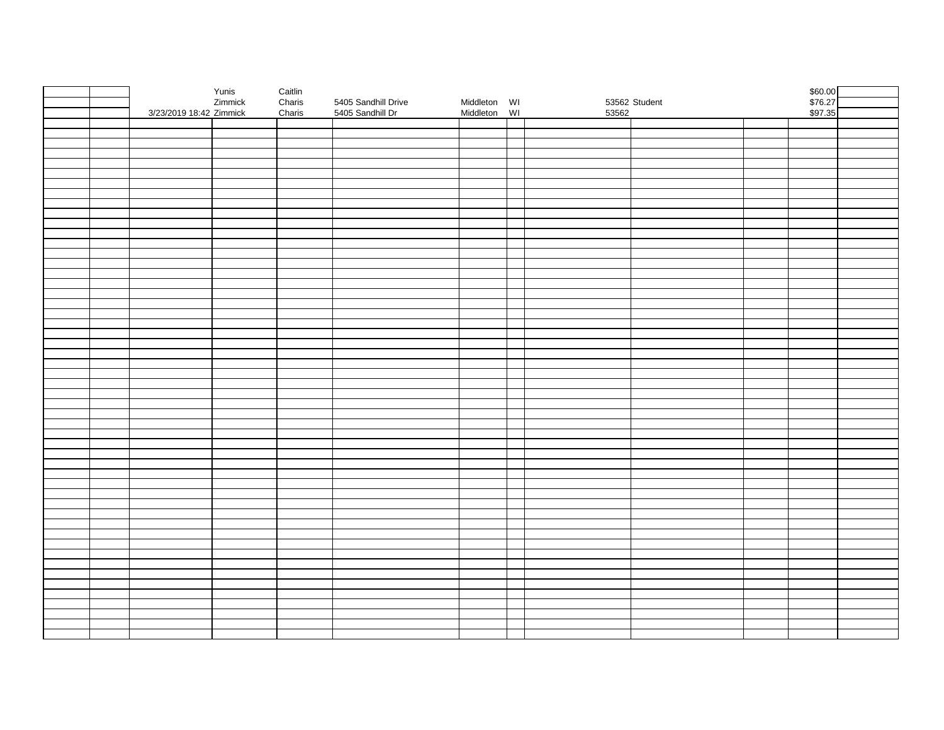|  |                         | Yunis<br>Zimmick | Caitlin<br>Charis |                     |              |       |               | \$60.00<br>\$76.27<br>\$97.35 |  |
|--|-------------------------|------------------|-------------------|---------------------|--------------|-------|---------------|-------------------------------|--|
|  |                         |                  |                   | 5405 Sandhill Drive | Middleton WI |       | 53562 Student |                               |  |
|  | 3/23/2019 18:42 Zimmick |                  | Charis            | 5405 Sandhill Dr    | Middleton WI | 53562 |               |                               |  |
|  |                         |                  |                   |                     |              |       |               |                               |  |
|  |                         |                  |                   |                     |              |       |               |                               |  |
|  |                         |                  |                   |                     |              |       |               |                               |  |
|  |                         |                  |                   |                     |              |       |               |                               |  |
|  |                         |                  |                   |                     |              |       |               |                               |  |
|  |                         |                  |                   |                     |              |       |               |                               |  |
|  |                         |                  |                   |                     |              |       |               |                               |  |
|  |                         |                  |                   |                     |              |       |               |                               |  |
|  |                         |                  |                   |                     |              |       |               |                               |  |
|  |                         |                  |                   |                     |              |       |               |                               |  |
|  |                         |                  |                   |                     |              |       |               |                               |  |
|  |                         |                  |                   |                     |              |       |               |                               |  |
|  |                         |                  |                   |                     |              |       |               |                               |  |
|  |                         |                  |                   |                     |              |       |               |                               |  |
|  |                         |                  |                   |                     |              |       |               |                               |  |
|  |                         |                  |                   |                     |              |       |               |                               |  |
|  |                         |                  |                   |                     |              |       |               |                               |  |
|  |                         |                  |                   |                     |              |       |               |                               |  |
|  |                         |                  |                   |                     |              |       |               |                               |  |
|  |                         |                  |                   |                     |              |       |               |                               |  |
|  |                         |                  |                   |                     |              |       |               |                               |  |
|  |                         |                  |                   |                     |              |       |               |                               |  |
|  |                         |                  |                   |                     |              |       |               |                               |  |
|  |                         |                  |                   |                     |              |       |               |                               |  |
|  |                         |                  |                   |                     |              |       |               |                               |  |
|  |                         |                  |                   |                     |              |       |               |                               |  |
|  |                         |                  |                   |                     |              |       |               |                               |  |
|  |                         |                  |                   |                     |              |       |               |                               |  |
|  |                         |                  |                   |                     |              |       |               |                               |  |
|  |                         |                  |                   |                     |              |       |               |                               |  |
|  |                         |                  |                   |                     |              |       |               |                               |  |
|  |                         |                  |                   |                     |              |       |               |                               |  |
|  |                         |                  |                   |                     |              |       |               |                               |  |
|  |                         |                  |                   |                     |              |       |               |                               |  |
|  |                         |                  |                   |                     |              |       |               |                               |  |
|  |                         |                  |                   |                     |              |       |               |                               |  |
|  |                         |                  |                   |                     |              |       |               |                               |  |
|  |                         |                  |                   |                     |              |       |               |                               |  |
|  |                         |                  |                   |                     |              |       |               |                               |  |
|  |                         |                  |                   |                     |              |       |               |                               |  |
|  |                         |                  |                   |                     |              |       |               |                               |  |
|  |                         |                  |                   |                     |              |       |               |                               |  |
|  |                         |                  |                   |                     |              |       |               |                               |  |
|  |                         |                  |                   |                     |              |       |               |                               |  |
|  |                         |                  |                   |                     |              |       |               |                               |  |
|  |                         |                  |                   |                     |              |       |               |                               |  |
|  |                         |                  |                   |                     |              |       |               |                               |  |
|  |                         |                  |                   |                     |              |       |               |                               |  |
|  |                         |                  |                   |                     |              |       |               |                               |  |
|  |                         |                  |                   |                     |              |       |               |                               |  |
|  |                         |                  |                   |                     |              |       |               |                               |  |
|  |                         |                  |                   |                     |              |       |               |                               |  |
|  |                         |                  |                   |                     |              |       |               |                               |  |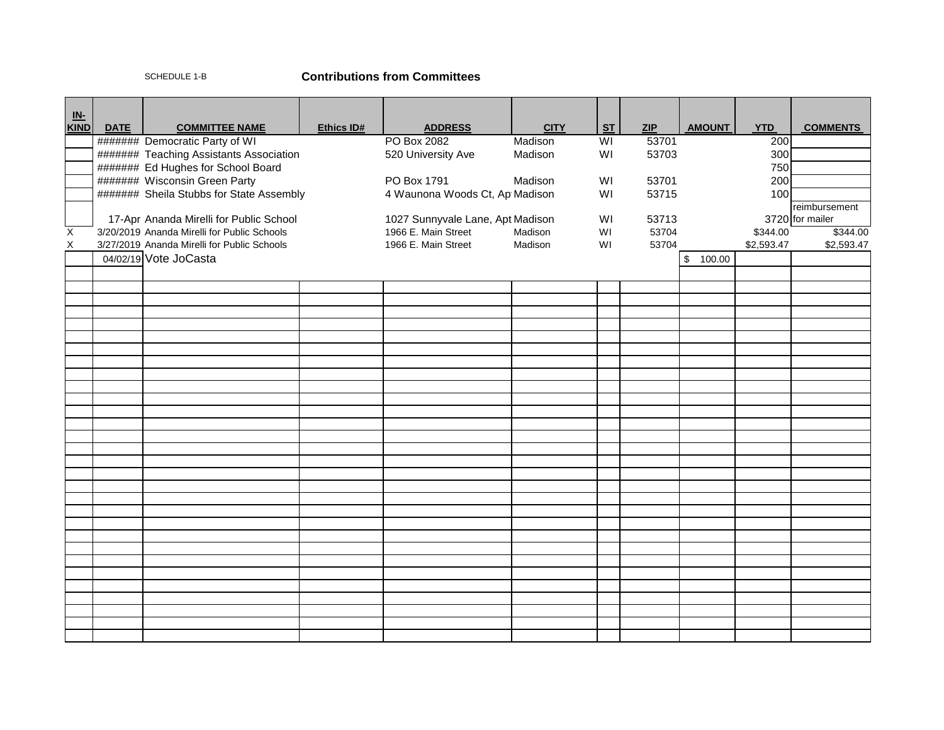## SCHEDULE 1-B **Contributions from Committees**

| $\underline{\mathsf{IN}}$ |             |                                                                           |            |                                  |             |                         |                |               |            |                 |
|---------------------------|-------------|---------------------------------------------------------------------------|------------|----------------------------------|-------------|-------------------------|----------------|---------------|------------|-----------------|
| <b>KIND</b>               | <b>DATE</b> | <b>COMMITTEE NAME</b>                                                     | Ethics ID# | <b>ADDRESS</b>                   | <b>CITY</b> | <b>ST</b>               | ZIP            | <b>AMOUNT</b> | <b>YTD</b> | <b>COMMENTS</b> |
|                           |             | ####### Democratic Party of WI                                            |            | PO Box 2082                      | Madison     | $\overline{\mathsf{W}}$ | 53701<br>53703 |               | 200        |                 |
|                           |             | ####### Teaching Assistants Association                                   |            | 520 University Ave               | Madison     | WI                      |                |               | 300<br>750 |                 |
|                           |             | ####### Ed Hughes for School Board                                        |            | PO Box 1791                      | Madison     | WI                      | 53701          |               | 200        |                 |
|                           |             | ####### Wisconsin Green Party<br>####### Sheila Stubbs for State Assembly |            | 4 Waunona Woods Ct, Ap Madison   |             | WI                      | 53715          |               | 100        |                 |
|                           |             |                                                                           |            |                                  |             |                         |                |               |            | reimbursement   |
|                           |             | 17-Apr Ananda Mirelli for Public School                                   |            | 1027 Sunnyvale Lane, Apt Madison |             | WI                      | 53713          |               |            | 3720 for mailer |
| X                         |             | 3/20/2019 Ananda Mirelli for Public Schools                               |            | 1966 E. Main Street              | Madison     | WI                      | 53704          |               | \$344.00   | \$344.00        |
| Χ                         |             | 3/27/2019 Ananda Mirelli for Public Schools                               |            | 1966 E. Main Street              | Madison     | WI                      | 53704          |               | \$2,593.47 | \$2,593.47      |
|                           |             | 04/02/19 Vote JoCasta                                                     |            |                                  |             |                         |                | \$<br>100.00  |            |                 |
|                           |             |                                                                           |            |                                  |             |                         |                |               |            |                 |
|                           |             |                                                                           |            |                                  |             |                         |                |               |            |                 |
|                           |             |                                                                           |            |                                  |             |                         |                |               |            |                 |
|                           |             |                                                                           |            |                                  |             |                         |                |               |            |                 |
|                           |             |                                                                           |            |                                  |             |                         |                |               |            |                 |
|                           |             |                                                                           |            |                                  |             |                         |                |               |            |                 |
|                           |             |                                                                           |            |                                  |             |                         |                |               |            |                 |
|                           |             |                                                                           |            |                                  |             |                         |                |               |            |                 |
|                           |             |                                                                           |            |                                  |             |                         |                |               |            |                 |
|                           |             |                                                                           |            |                                  |             |                         |                |               |            |                 |
|                           |             |                                                                           |            |                                  |             |                         |                |               |            |                 |
|                           |             |                                                                           |            |                                  |             |                         |                |               |            |                 |
|                           |             |                                                                           |            |                                  |             |                         |                |               |            |                 |
|                           |             |                                                                           |            |                                  |             |                         |                |               |            |                 |
|                           |             |                                                                           |            |                                  |             |                         |                |               |            |                 |
|                           |             |                                                                           |            |                                  |             |                         |                |               |            |                 |
|                           |             |                                                                           |            |                                  |             |                         |                |               |            |                 |
|                           |             |                                                                           |            |                                  |             |                         |                |               |            |                 |
|                           |             |                                                                           |            |                                  |             |                         |                |               |            |                 |
|                           |             |                                                                           |            |                                  |             |                         |                |               |            |                 |
|                           |             |                                                                           |            |                                  |             |                         |                |               |            |                 |
|                           |             |                                                                           |            |                                  |             |                         |                |               |            |                 |
|                           |             |                                                                           |            |                                  |             |                         |                |               |            |                 |
|                           |             |                                                                           |            |                                  |             |                         |                |               |            |                 |
|                           |             |                                                                           |            |                                  |             |                         |                |               |            |                 |
|                           |             |                                                                           |            |                                  |             |                         |                |               |            |                 |
|                           |             |                                                                           |            |                                  |             |                         |                |               |            |                 |
|                           |             |                                                                           |            |                                  |             |                         |                |               |            |                 |
|                           |             |                                                                           |            |                                  |             |                         |                |               |            |                 |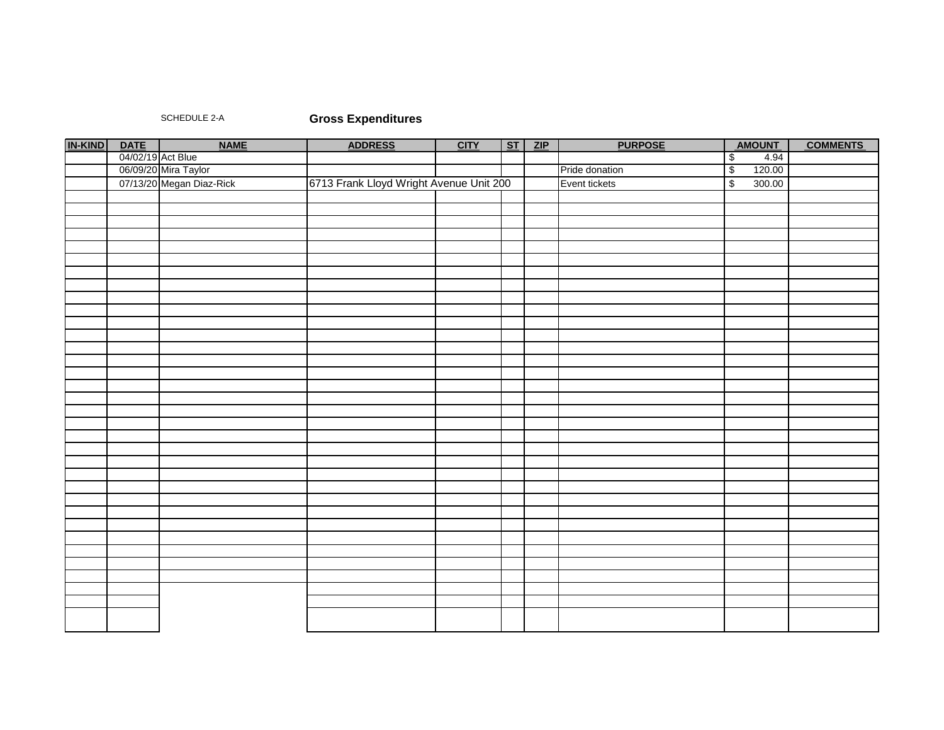## SCHEDULE 2-A **Gross Expenditures**

| <b>IN-KIND</b> | <b>DATE</b>       | <b>NAME</b>              | <b>ADDRESS</b>                          | <b>CITY</b> | ST | ZIP | <b>PURPOSE</b> | <b>AMOUNT</b>                      | <b>COMMENTS</b> |
|----------------|-------------------|--------------------------|-----------------------------------------|-------------|----|-----|----------------|------------------------------------|-----------------|
|                | 04/02/19 Act Blue |                          |                                         |             |    |     |                | 4.94<br>$\sqrt[6]{\frac{1}{2}}$    |                 |
|                |                   | 06/09/20 Mira Taylor     |                                         |             |    |     | Pride donation | 120.00<br>$\overline{\mathcal{E}}$ |                 |
|                |                   | 07/13/20 Megan Diaz-Rick | 6713 Frank Lloyd Wright Avenue Unit 200 |             |    |     | Event tickets  | 300.00<br>$\overline{\mathbf{S}}$  |                 |
|                |                   |                          |                                         |             |    |     |                |                                    |                 |
|                |                   |                          |                                         |             |    |     |                |                                    |                 |
|                |                   |                          |                                         |             |    |     |                |                                    |                 |
|                |                   |                          |                                         |             |    |     |                |                                    |                 |
|                |                   |                          |                                         |             |    |     |                |                                    |                 |
|                |                   |                          |                                         |             |    |     |                |                                    |                 |
|                |                   |                          |                                         |             |    |     |                |                                    |                 |
|                |                   |                          |                                         |             |    |     |                |                                    |                 |
|                |                   |                          |                                         |             |    |     |                |                                    |                 |
|                |                   |                          |                                         |             |    |     |                |                                    |                 |
|                |                   |                          |                                         |             |    |     |                |                                    |                 |
|                |                   |                          |                                         |             |    |     |                |                                    |                 |
|                |                   |                          |                                         |             |    |     |                |                                    |                 |
|                |                   |                          |                                         |             |    |     |                |                                    |                 |
|                |                   |                          |                                         |             |    |     |                |                                    |                 |
|                |                   |                          |                                         |             |    |     |                |                                    |                 |
|                |                   |                          |                                         |             |    |     |                |                                    |                 |
|                |                   |                          |                                         |             |    |     |                |                                    |                 |
|                |                   |                          |                                         |             |    |     |                |                                    |                 |
|                |                   |                          |                                         |             |    |     |                |                                    |                 |
|                |                   |                          |                                         |             |    |     |                |                                    |                 |
|                |                   |                          |                                         |             |    |     |                |                                    |                 |
|                |                   |                          |                                         |             |    |     |                |                                    |                 |
|                |                   |                          |                                         |             |    |     |                |                                    |                 |
|                |                   |                          |                                         |             |    |     |                |                                    |                 |
|                |                   |                          |                                         |             |    |     |                |                                    |                 |
|                |                   |                          |                                         |             |    |     |                |                                    |                 |
|                |                   |                          |                                         |             |    |     |                |                                    |                 |
|                |                   |                          |                                         |             |    |     |                |                                    |                 |
|                |                   |                          |                                         |             |    |     |                |                                    |                 |
|                |                   |                          |                                         |             |    |     |                |                                    |                 |
|                |                   |                          |                                         |             |    |     |                |                                    |                 |
|                |                   |                          |                                         |             |    |     |                |                                    |                 |
|                |                   |                          |                                         |             |    |     |                |                                    |                 |